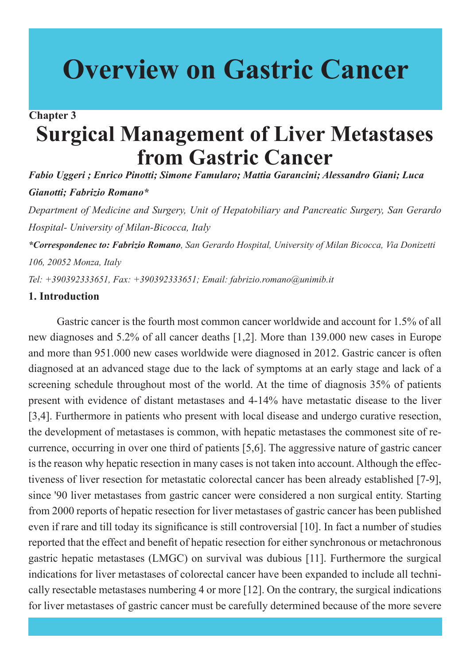# **Overview on Gastric Cancer**

# **Surgical Management of Liver Metastases from Gastric Cancer Chapter 3**

*Fabio Uggeri ; Enrico Pinotti; Simone Famularo; Mattia Garancini; Alessandro Giani; Luca Gianotti; Fabrizio Romano\**

*Department of Medicine and Surgery, Unit of Hepatobiliary and Pancreatic Surgery, San Gerardo Hospital- University of Milan-Bicocca, Italy*

*\*Correspondenec to: Fabrizio Romano, San Gerardo Hospital, University of Milan Bicocca, Via Donizetti 106, 20052 Monza, Italy*

*Tel: +390392333651, Fax: +390392333651; Email: fabrizio.romano@unimib.it* 

## **1. Introduction**

Gastric cancer is the fourth most common cancer worldwide and account for 1.5% of all new diagnoses and 5.2% of all cancer deaths [1,2]. More than 139.000 new cases in Europe and more than 951.000 new cases worldwide were diagnosed in 2012. Gastric cancer is often diagnosed at an advanced stage due to the lack of symptoms at an early stage and lack of a screening schedule throughout most of the world. At the time of diagnosis 35% of patients present with evidence of distant metastases and 4-14% have metastatic disease to the liver [3,4]. Furthermore in patients who present with local disease and undergo curative resection, the development of metastases is common, with hepatic metastases the commonest site of recurrence, occurring in over one third of patients [5,6]. The aggressive nature of gastric cancer is the reason why hepatic resection in many cases is not taken into account. Although the effectiveness of liver resection for metastatic colorectal cancer has been already established [7-9], since '90 liver metastases from gastric cancer were considered a non surgical entity. Starting from 2000 reports of hepatic resection for liver metastases of gastric cancer has been published even if rare and till today its significance is still controversial [10]. In fact a number of studies reported that the effect and benefit of hepatic resection for either synchronous or metachronous gastric hepatic metastases (LMGC) on survival was dubious [11]. Furthermore the surgical indications for liver metastases of colorectal cancer have been expanded to include all technically resectable metastases numbering 4 or more [12]. On the contrary, the surgical indications for liver metastases of gastric cancer must be carefully determined because of the more severe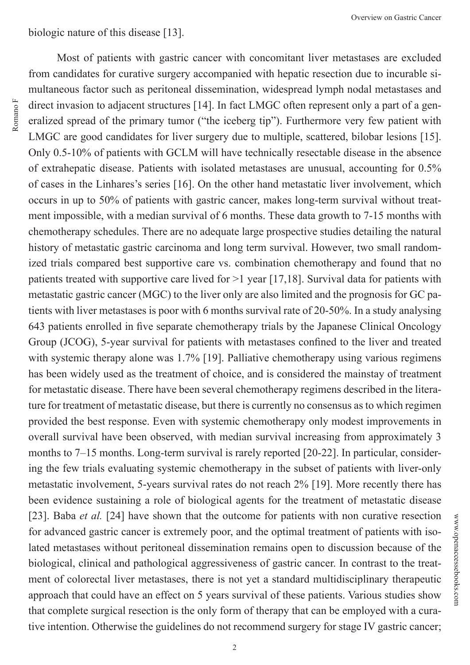biologic nature of this disease [13].

Romano F Romano F

from candidates for curative surgery accompanied with hepatic resection due to incurable simultaneous factor such as peritoneal dissemination, widespread lymph nodal metastases and direct invasion to adjacent structures [14]. In fact LMGC often represent only a part of a generalized spread of the primary tumor ("the iceberg tip"). Furthermore very few patient with LMGC are good candidates for liver surgery due to multiple, scattered, bilobar lesions [15]. Only 0.5-10% of patients with GCLM will have technically resectable disease in the absence of extrahepatic disease. Patients with isolated metastases are unusual, accounting for 0.5% of cases in the Linhares's series [16]. On the other hand metastatic liver involvement, which occurs in up to 50% of patients with gastric cancer, makes long-term survival without treatment impossible, with a median survival of 6 months. These data growth to 7-15 months with chemotherapy schedules. There are no adequate large prospective studies detailing the natural history of metastatic gastric carcinoma and long term survival. However, two small randomized trials compared best supportive care vs. combination chemotherapy and found that no patients treated with supportive care lived for >1 year [17,18]. Survival data for patients with metastatic gastric cancer (MGC) to the liver only are also limited and the prognosis for GC patients with liver metastases is poor with 6 months survival rate of 20-50%. In a study analysing 643 patients enrolled in five separate chemotherapy trials by the Japanese Clinical Oncology Group (JCOG), 5-year survival for patients with metastases confined to the liver and treated with systemic therapy alone was 1.7% [19]. Palliative chemotherapy using various regimens has been widely used as the treatment of choice, and is considered the mainstay of treatment for metastatic disease. There have been several chemotherapy regimens described in the literature for treatment of metastatic disease, but there is currently no consensus as to which regimen provided the best response. Even with systemic chemotherapy only modest improvements in overall survival have been observed, with median survival increasing from approximately 3 months to 7–15 months. Long-term survival is rarely reported [20-22]. In particular, considering the few trials evaluating systemic chemotherapy in the subset of patients with liver-only metastatic involvement, 5-years survival rates do not reach 2% [19]. More recently there has been evidence sustaining a role of biological agents for the treatment of metastatic disease [23]. Baba *et al.* [24] have shown that the outcome for patients with non curative resection for advanced gastric cancer is extremely poor, and the optimal treatment of patients with isolated metastases without peritoneal dissemination remains open to discussion because of the biological, clinical and pathological aggressiveness of gastric cancer. In contrast to the treatment of colorectal liver metastases, there is not yet a standard multidisciplinary therapeutic approach that could have an effect on 5 years survival of these patients. Various studies show that complete surgical resection is the only form of therapy that can be employed with a curative intention. Otherwise the guidelines do not recommend surgery for stage IV gastric cancer;

Most of patients with gastric cancer with concomitant liver metastases are excluded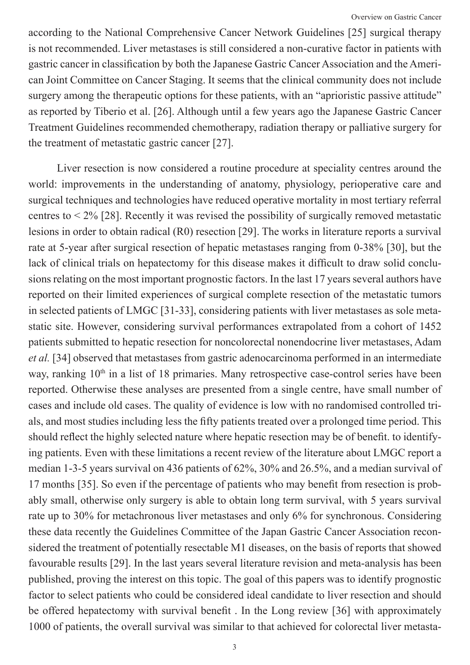according to the National Comprehensive Cancer Network Guidelines [25] surgical therapy is not recommended. Liver metastases is still considered a non-curative factor in patients with gastric cancer in classification by both the Japanese Gastric Cancer Association and the American Joint Committee on Cancer Staging. It seems that the clinical community does not include surgery among the therapeutic options for these patients, with an "aprioristic passive attitude" as reported by Tiberio et al. [26]. Although until a few years ago the Japanese Gastric Cancer Treatment Guidelines recommended chemotherapy, radiation therapy or palliative surgery for the treatment of metastatic gastric cancer [27].

Liver resection is now considered a routine procedure at speciality centres around the world: improvements in the understanding of anatomy, physiology, perioperative care and surgical techniques and technologies have reduced operative mortality in most tertiary referral centres to  $\leq 2\%$  [28]. Recently it was revised the possibility of surgically removed metastatic lesions in order to obtain radical (R0) resection [29]. The works in literature reports a survival rate at 5-year after surgical resection of hepatic metastases ranging from 0-38% [30], but the lack of clinical trials on hepatectomy for this disease makes it difficult to draw solid conclusions relating on the most important prognostic factors. In the last 17 years several authors have reported on their limited experiences of surgical complete resection of the metastatic tumors in selected patients of LMGC [31-33], considering patients with liver metastases as sole metastatic site. However, considering survival performances extrapolated from a cohort of 1452 patients submitted to hepatic resection for noncolorectal nonendocrine liver metastases, Adam *et al.* [34] observed that metastases from gastric adenocarcinoma performed in an intermediate way, ranking 10<sup>th</sup> in a list of 18 primaries. Many retrospective case-control series have been reported. Otherwise these analyses are presented from a single centre, have small number of cases and include old cases. The quality of evidence is low with no randomised controlled trials, and most studies including less the fifty patients treated over a prolonged time period. This should reflect the highly selected nature where hepatic resection may be of benefit. to identifying patients. Even with these limitations a recent review of the literature about LMGC report a median 1-3-5 years survival on 436 patients of 62%, 30% and 26.5%, and a median survival of 17 months [35]. So even if the percentage of patients who may benefit from resection is probably small, otherwise only surgery is able to obtain long term survival, with 5 years survival rate up to 30% for metachronous liver metastases and only 6% for synchronous. Considering these data recently the Guidelines Committee of the Japan Gastric Cancer Association reconsidered the treatment of potentially resectable M1 diseases, on the basis of reports that showed favourable results [29]. In the last years several literature revision and meta-analysis has been published, proving the interest on this topic. The goal of this papers was to identify prognostic factor to select patients who could be considered ideal candidate to liver resection and should be offered hepatectomy with survival benefit . In the Long review [36] with approximately 1000 of patients, the overall survival was similar to that achieved for colorectal liver metasta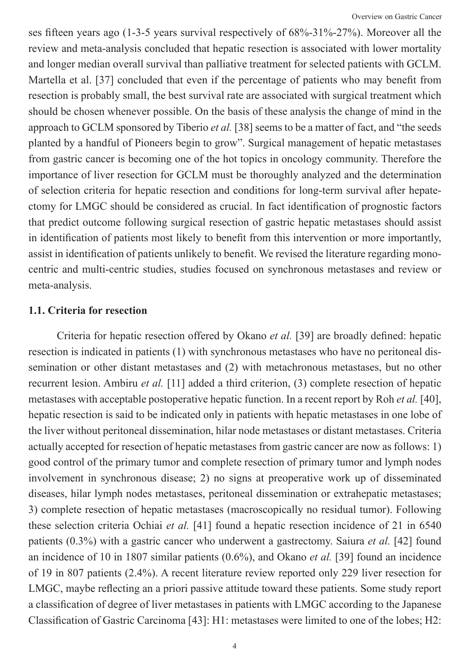ses fifteen years ago (1-3-5 years survival respectively of 68%-31%-27%). Moreover all the review and meta-analysis concluded that hepatic resection is associated with lower mortality and longer median overall survival than palliative treatment for selected patients with GCLM. Martella et al. [37] concluded that even if the percentage of patients who may benefit from resection is probably small, the best survival rate are associated with surgical treatment which should be chosen whenever possible. On the basis of these analysis the change of mind in the approach to GCLM sponsored by Tiberio *et al.* [38] seems to be a matter of fact, and "the seeds planted by a handful of Pioneers begin to grow". Surgical management of hepatic metastases from gastric cancer is becoming one of the hot topics in oncology community. Therefore the importance of liver resection for GCLM must be thoroughly analyzed and the determination of selection criteria for hepatic resection and conditions for long-term survival after hepatectomy for LMGC should be considered as crucial. In fact identification of prognostic factors that predict outcome following surgical resection of gastric hepatic metastases should assist in identification of patients most likely to benefit from this intervention or more importantly, assist in identification of patients unlikely to benefit. We revised the literature regarding monocentric and multi-centric studies, studies focused on synchronous metastases and review or meta-analysis.

#### **1.1. Criteria for resection**

Criteria for hepatic resection offered by Okano *et al.* [39] are broadly defined: hepatic resection is indicated in patients (1) with synchronous metastases who have no peritoneal dissemination or other distant metastases and (2) with metachronous metastases, but no other recurrent lesion. Ambiru *et al.* [11] added a third criterion, (3) complete resection of hepatic metastases with acceptable postoperative hepatic function. In a recent report by Roh *et al.* [40], hepatic resection is said to be indicated only in patients with hepatic metastases in one lobe of the liver without peritoneal dissemination, hilar node metastases or distant metastases. Criteria actually accepted for resection of hepatic metastases from gastric cancer are now as follows: 1) good control of the primary tumor and complete resection of primary tumor and lymph nodes involvement in synchronous disease; 2) no signs at preoperative work up of disseminated diseases, hilar lymph nodes metastases, peritoneal dissemination or extrahepatic metastases; 3) complete resection of hepatic metastases (macroscopically no residual tumor). Following these selection criteria Ochiai *et al.* [41] found a hepatic resection incidence of 21 in 6540 patients (0.3%) with a gastric cancer who underwent a gastrectomy. Saiura *et al.* [42] found an incidence of 10 in 1807 similar patients (0.6%), and Okano *et al.* [39] found an incidence of 19 in 807 patients (2.4%). A recent literature review reported only 229 liver resection for LMGC, maybe reflecting an a priori passive attitude toward these patients. Some study report a classification of degree of liver metastases in patients with LMGC according to the Japanese Classification of Gastric Carcinoma [43]: H1: metastases were limited to one of the lobes; H2: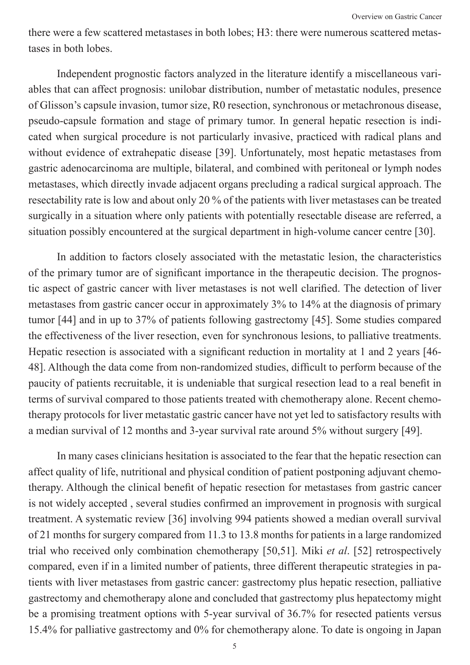there were a few scattered metastases in both lobes; H3: there were numerous scattered metastases in both lobes.

Independent prognostic factors analyzed in the literature identify a miscellaneous variables that can affect prognosis: unilobar distribution, number of metastatic nodules, presence of Glisson's capsule invasion, tumor size, R0 resection, synchronous or metachronous disease, pseudo-capsule formation and stage of primary tumor. In general hepatic resection is indicated when surgical procedure is not particularly invasive, practiced with radical plans and without evidence of extrahepatic disease [39]. Unfortunately, most hepatic metastases from gastric adenocarcinoma are multiple, bilateral, and combined with peritoneal or lymph nodes metastases, which directly invade adjacent organs precluding a radical surgical approach. The resectability rate is low and about only 20 % of the patients with liver metastases can be treated surgically in a situation where only patients with potentially resectable disease are referred, a situation possibly encountered at the surgical department in high-volume cancer centre [30].

In addition to factors closely associated with the metastatic lesion, the characteristics of the primary tumor are of significant importance in the therapeutic decision. The prognostic aspect of gastric cancer with liver metastases is not well clarified. The detection of liver metastases from gastric cancer occur in approximately 3% to 14% at the diagnosis of primary tumor [44] and in up to 37% of patients following gastrectomy [45]. Some studies compared the effectiveness of the liver resection, even for synchronous lesions, to palliative treatments. Hepatic resection is associated with a significant reduction in mortality at 1 and 2 years [46- 48]. Although the data come from non-randomized studies, difficult to perform because of the paucity of patients recruitable, it is undeniable that surgical resection lead to a real benefit in terms of survival compared to those patients treated with chemotherapy alone. Recent chemotherapy protocols for liver metastatic gastric cancer have not yet led to satisfactory results with a median survival of 12 months and 3-year survival rate around 5% without surgery [49].

In many cases clinicians hesitation is associated to the fear that the hepatic resection can affect quality of life, nutritional and physical condition of patient postponing adjuvant chemotherapy. Although the clinical benefit of hepatic resection for metastases from gastric cancer is not widely accepted , several studies confirmed an improvement in prognosis with surgical treatment. A systematic review [36] involving 994 patients showed a median overall survival of 21 months for surgery compared from 11.3 to 13.8 months for patients in a large randomized trial who received only combination chemotherapy [50,51]. Miki *et al*. [52] retrospectively compared, even if in a limited number of patients, three different therapeutic strategies in patients with liver metastases from gastric cancer: gastrectomy plus hepatic resection, palliative gastrectomy and chemotherapy alone and concluded that gastrectomy plus hepatectomy might be a promising treatment options with 5-year survival of 36.7% for resected patients versus 15.4% for palliative gastrectomy and 0% for chemotherapy alone. To date is ongoing in Japan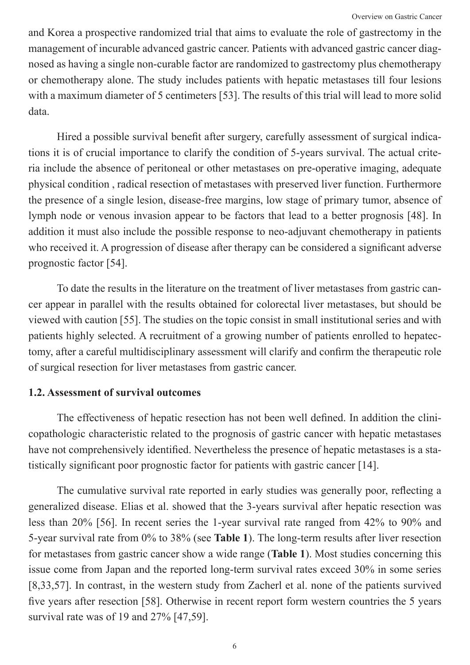and Korea a prospective randomized trial that aims to evaluate the role of gastrectomy in the management of incurable advanced gastric cancer. Patients with advanced gastric cancer diagnosed as having a single non-curable factor are randomized to gastrectomy plus chemotherapy or chemotherapy alone. The study includes patients with hepatic metastases till four lesions with a maximum diameter of 5 centimeters [53]. The results of this trial will lead to more solid data.

Hired a possible survival benefit after surgery, carefully assessment of surgical indications it is of crucial importance to clarify the condition of 5-years survival. The actual criteria include the absence of peritoneal or other metastases on pre-operative imaging, adequate physical condition , radical resection of metastases with preserved liver function. Furthermore the presence of a single lesion, disease-free margins, low stage of primary tumor, absence of lymph node or venous invasion appear to be factors that lead to a better prognosis [48]. In addition it must also include the possible response to neo-adjuvant chemotherapy in patients who received it. A progression of disease after therapy can be considered a significant adverse prognostic factor [54].

To date the results in the literature on the treatment of liver metastases from gastric cancer appear in parallel with the results obtained for colorectal liver metastases, but should be viewed with caution [55]. The studies on the topic consist in small institutional series and with patients highly selected. A recruitment of a growing number of patients enrolled to hepatectomy, after a careful multidisciplinary assessment will clarify and confirm the therapeutic role of surgical resection for liver metastases from gastric cancer.

## **1.2. Assessment of survival outcomes**

The effectiveness of hepatic resection has not been well defined. In addition the clinicopathologic characteristic related to the prognosis of gastric cancer with hepatic metastases have not comprehensively identified. Nevertheless the presence of hepatic metastases is a statistically significant poor prognostic factor for patients with gastric cancer [14].

The cumulative survival rate reported in early studies was generally poor, reflecting a generalized disease. Elias et al. showed that the 3-years survival after hepatic resection was less than 20% [56]. In recent series the 1-year survival rate ranged from 42% to 90% and 5-year survival rate from 0% to 38% (see **Table 1**). The long-term results after liver resection for metastases from gastric cancer show a wide range (**Table 1**). Most studies concerning this issue come from Japan and the reported long-term survival rates exceed 30% in some series [8,33,57]. In contrast, in the western study from Zacherl et al. none of the patients survived five years after resection [58]. Otherwise in recent report form western countries the 5 years survival rate was of 19 and 27% [47,59].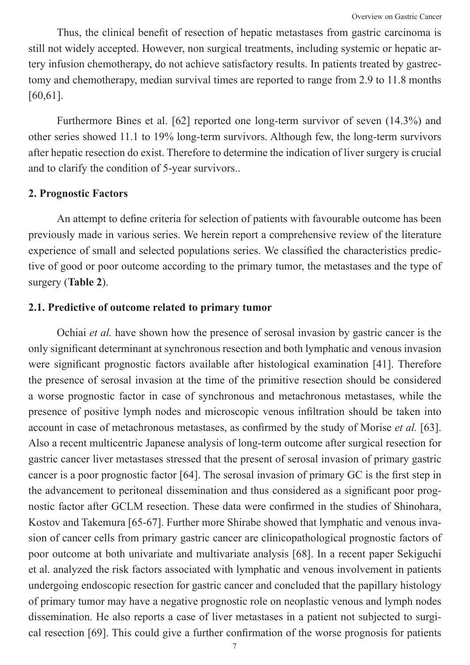Thus, the clinical benefit of resection of hepatic metastases from gastric carcinoma is still not widely accepted. However, non surgical treatments, including systemic or hepatic artery infusion chemotherapy, do not achieve satisfactory results. In patients treated by gastrectomy and chemotherapy, median survival times are reported to range from 2.9 to 11.8 months [60,61].

Furthermore Bines et al. [62] reported one long-term survivor of seven (14.3%) and other series showed 11.1 to 19% long-term survivors. Although few, the long-term survivors after hepatic resection do exist. Therefore to determine the indication of liver surgery is crucial and to clarify the condition of 5-year survivors..

## **2. Prognostic Factors**

An attempt to define criteria for selection of patients with favourable outcome has been previously made in various series. We herein report a comprehensive review of the literature experience of small and selected populations series. We classified the characteristics predictive of good or poor outcome according to the primary tumor, the metastases and the type of surgery (**Table 2**).

#### **2.1. Predictive of outcome related to primary tumor**

Ochiai *et al.* have shown how the presence of serosal invasion by gastric cancer is the only significant determinant at synchronous resection and both lymphatic and venous invasion were significant prognostic factors available after histological examination [41]. Therefore the presence of serosal invasion at the time of the primitive resection should be considered a worse prognostic factor in case of synchronous and metachronous metastases, while the presence of positive lymph nodes and microscopic venous infiltration should be taken into account in case of metachronous metastases, as confirmed by the study of Morise *et al.* [63]. Also a recent multicentric Japanese analysis of long-term outcome after surgical resection for gastric cancer liver metastases stressed that the present of serosal invasion of primary gastric cancer is a poor prognostic factor [64]. The serosal invasion of primary GC is the first step in the advancement to peritoneal dissemination and thus considered as a significant poor prognostic factor after GCLM resection. These data were confirmed in the studies of Shinohara, Kostov and Takemura [65-67]. Further more Shirabe showed that lymphatic and venous invasion of cancer cells from primary gastric cancer are clinicopathological prognostic factors of poor outcome at both univariate and multivariate analysis [68]. In a recent paper Sekiguchi et al. analyzed the risk factors associated with lymphatic and venous involvement in patients undergoing endoscopic resection for gastric cancer and concluded that the papillary histology of primary tumor may have a negative prognostic role on neoplastic venous and lymph nodes dissemination. He also reports a case of liver metastases in a patient not subjected to surgical resection [69]. This could give a further confirmation of the worse prognosis for patients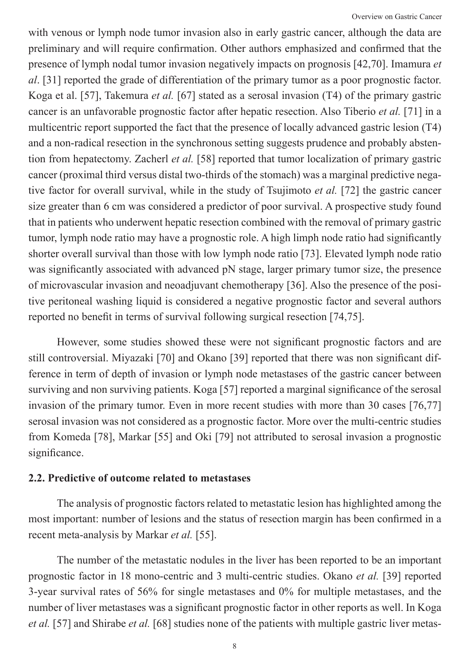with venous or lymph node tumor invasion also in early gastric cancer, although the data are preliminary and will require confirmation. Other authors emphasized and confirmed that the presence of lymph nodal tumor invasion negatively impacts on prognosis [42,70]. Imamura *et al*. [31] reported the grade of differentiation of the primary tumor as a poor prognostic factor. Koga et al. [57], Takemura *et al.* [67] stated as a serosal invasion (T4) of the primary gastric cancer is an unfavorable prognostic factor after hepatic resection. Also Tiberio *et al.* [71] in a multicentric report supported the fact that the presence of locally advanced gastric lesion (T4) and a non-radical resection in the synchronous setting suggests prudence and probably abstention from hepatectomy. Zacherl *et al.* [58] reported that tumor localization of primary gastric cancer (proximal third versus distal two-thirds of the stomach) was a marginal predictive negative factor for overall survival, while in the study of Tsujimoto *et al.* [72] the gastric cancer size greater than 6 cm was considered a predictor of poor survival. A prospective study found that in patients who underwent hepatic resection combined with the removal of primary gastric tumor, lymph node ratio may have a prognostic role. A high limph node ratio had significantly shorter overall survival than those with low lymph node ratio [73]. Elevated lymph node ratio was significantly associated with advanced pN stage, larger primary tumor size, the presence of microvascular invasion and neoadjuvant chemotherapy [36]. Also the presence of the positive peritoneal washing liquid is considered a negative prognostic factor and several authors reported no benefit in terms of survival following surgical resection [74,75].

However, some studies showed these were not significant prognostic factors and are still controversial. Miyazaki [70] and Okano [39] reported that there was non significant difference in term of depth of invasion or lymph node metastases of the gastric cancer between surviving and non surviving patients. Koga [57] reported a marginal significance of the serosal invasion of the primary tumor. Even in more recent studies with more than 30 cases [76,77] serosal invasion was not considered as a prognostic factor. More over the multi-centric studies from Komeda [78], Markar [55] and Oki [79] not attributed to serosal invasion a prognostic significance.

## **2.2. Predictive of outcome related to metastases**

The analysis of prognostic factors related to metastatic lesion has highlighted among the most important: number of lesions and the status of resection margin has been confirmed in a recent meta-analysis by Markar *et al.* [55].

The number of the metastatic nodules in the liver has been reported to be an important prognostic factor in 18 mono-centric and 3 multi-centric studies. Okano *et al.* [39] reported 3-year survival rates of 56% for single metastases and 0% for multiple metastases, and the number of liver metastases was a significant prognostic factor in other reports as well. In Koga *et al.* [57] and Shirabe *et al.* [68] studies none of the patients with multiple gastric liver metas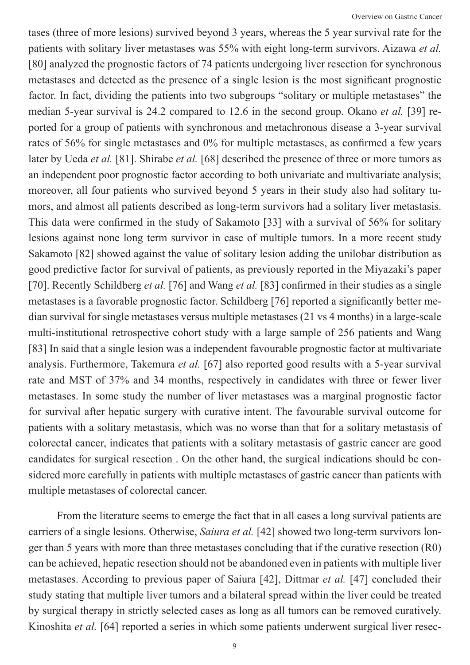tases (three of more lesions) survived beyond 3 years, whereas the 5 year survival rate for the patients with solitary liver metastases was 55% with eight long-term survivors. Aizawa *et al.*  [80] analyzed the prognostic factors of 74 patients undergoing liver resection for synchronous metastases and detected as the presence of a single lesion is the most significant prognostic factor. In fact, dividing the patients into two subgroups "solitary or multiple metastases" the median 5-year survival is 24.2 compared to 12.6 in the second group. Okano *et al.* [39] reported for a group of patients with synchronous and metachronous disease a 3-year survival rates of 56% for single metastases and 0% for multiple metastases, as confirmed a few years later by Ueda *et al.* [81]. Shirabe *et al.* [68] described the presence of three or more tumors as an independent poor prognostic factor according to both univariate and multivariate analysis; moreover, all four patients who survived beyond 5 years in their study also had solitary tumors, and almost all patients described as long-term survivors had a solitary liver metastasis. This data were confirmed in the study of Sakamoto [33] with a survival of 56% for solitary lesions against none long term survivor in case of multiple tumors. In a more recent study Sakamoto [82] showed against the value of solitary lesion adding the unilobar distribution as good predictive factor for survival of patients, as previously reported in the Miyazaki's paper [70]. Recently Schildberg *et al.* [76] and Wang *et al.* [83] confirmed in their studies as a single metastases is a favorable prognostic factor. Schildberg [76] reported a significantly better median survival for single metastases versus multiple metastases (21 vs 4 months) in a large-scale multi-institutional retrospective cohort study with a large sample of 256 patients and Wang [83] In said that a single lesion was a independent favourable prognostic factor at multivariate analysis. Furthermore, Takemura *et al.* [67] also reported good results with a 5-year survival rate and MST of 37% and 34 months, respectively in candidates with three or fewer liver metastases. In some study the number of liver metastases was a marginal prognostic factor for survival after hepatic surgery with curative intent. The favourable survival outcome for patients with a solitary metastasis, which was no worse than that for a solitary metastasis of colorectal cancer, indicates that patients with a solitary metastasis of gastric cancer are good candidates for surgical resection . On the other hand, the surgical indications should be considered more carefully in patients with multiple metastases of gastric cancer than patients with multiple metastases of colorectal cancer.

From the literature seems to emerge the fact that in all cases a long survival patients are carriers of a single lesions. Otherwise, *Saiura et al.* [42] showed two long-term survivors longer than 5 years with more than three metastases concluding that if the curative resection (R0) can be achieved, hepatic resection should not be abandoned even in patients with multiple liver metastases. According to previous paper of Saiura [42], Dittmar *et al.* [47] concluded their study stating that multiple liver tumors and a bilateral spread within the liver could be treated by surgical therapy in strictly selected cases as long as all tumors can be removed curatively. Kinoshita *et al.* [64] reported a series in which some patients underwent surgical liver resec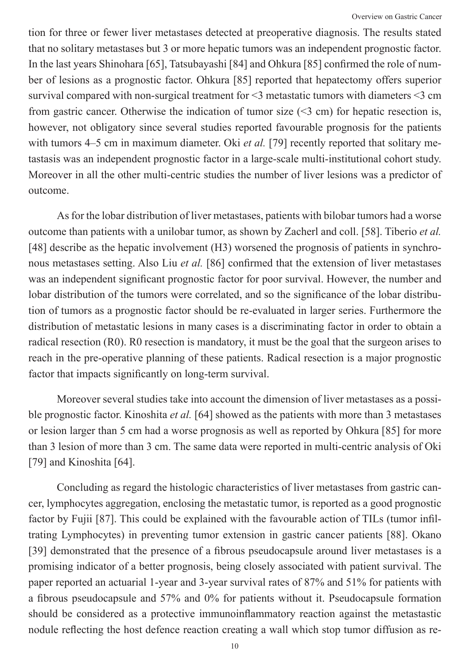tion for three or fewer liver metastases detected at preoperative diagnosis. The results stated that no solitary metastases but 3 or more hepatic tumors was an independent prognostic factor. In the last years Shinohara [65], Tatsubayashi [84] and Ohkura [85] confirmed the role of number of lesions as a prognostic factor. Ohkura [85] reported that hepatectomy offers superior survival compared with non-surgical treatment for <3 metastatic tumors with diameters <3 cm from gastric cancer. Otherwise the indication of tumor size  $(\leq 3 \text{ cm})$  for hepatic resection is, however, not obligatory since several studies reported favourable prognosis for the patients with tumors 4–5 cm in maximum diameter. Oki *et al.* [79] recently reported that solitary metastasis was an independent prognostic factor in a large-scale multi-institutional cohort study. Moreover in all the other multi-centric studies the number of liver lesions was a predictor of outcome.

As for the lobar distribution of liver metastases, patients with bilobar tumors had a worse outcome than patients with a unilobar tumor, as shown by Zacherl and coll. [58]. Tiberio *et al.*  [48] describe as the hepatic involvement (H3) worsened the prognosis of patients in synchronous metastases setting. Also Liu *et al.* [86] confirmed that the extension of liver metastases was an independent significant prognostic factor for poor survival. However, the number and lobar distribution of the tumors were correlated, and so the significance of the lobar distribution of tumors as a prognostic factor should be re-evaluated in larger series. Furthermore the distribution of metastatic lesions in many cases is a discriminating factor in order to obtain a radical resection (R0). R0 resection is mandatory, it must be the goal that the surgeon arises to reach in the pre-operative planning of these patients. Radical resection is a major prognostic factor that impacts significantly on long-term survival.

Moreover several studies take into account the dimension of liver metastases as a possible prognostic factor. Kinoshita *et al.* [64] showed as the patients with more than 3 metastases or lesion larger than 5 cm had a worse prognosis as well as reported by Ohkura [85] for more than 3 lesion of more than 3 cm. The same data were reported in multi-centric analysis of Oki [79] and Kinoshita [64].

Concluding as regard the histologic characteristics of liver metastases from gastric cancer, lymphocytes aggregation, enclosing the metastatic tumor, is reported as a good prognostic factor by Fujii [87]. This could be explained with the favourable action of TILs (tumor infiltrating Lymphocytes) in preventing tumor extension in gastric cancer patients [88]. Okano [39] demonstrated that the presence of a fibrous pseudocapsule around liver metastases is a promising indicator of a better prognosis, being closely associated with patient survival. The paper reported an actuarial 1-year and 3-year survival rates of 87% and 51% for patients with a fibrous pseudocapsule and 57% and 0% for patients without it. Pseudocapsule formation should be considered as a protective immunoinflammatory reaction against the metastastic nodule reflecting the host defence reaction creating a wall which stop tumor diffusion as re-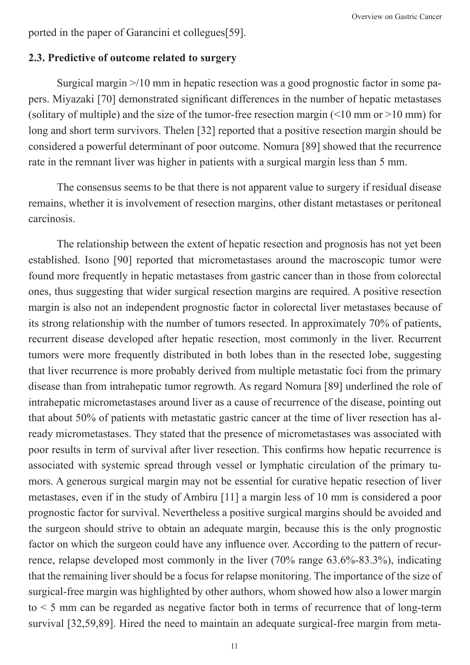Overview on Gastric Cancer

ported in the paper of Garancini et collegues[59].

# **2.3. Predictive of outcome related to surgery**

Surgical margin >/10 mm in hepatic resection was a good prognostic factor in some papers. Miyazaki [70] demonstrated significant differences in the number of hepatic metastases (solitary of multiple) and the size of the tumor-free resection margin  $(10 \text{ mm or } 10 \text{ mm})$  for long and short term survivors. Thelen [32] reported that a positive resection margin should be considered a powerful determinant of poor outcome. Nomura [89] showed that the recurrence rate in the remnant liver was higher in patients with a surgical margin less than 5 mm.

The consensus seems to be that there is not apparent value to surgery if residual disease remains, whether it is involvement of resection margins, other distant metastases or peritoneal carcinosis.

The relationship between the extent of hepatic resection and prognosis has not yet been established. Isono [90] reported that micrometastases around the macroscopic tumor were found more frequently in hepatic metastases from gastric cancer than in those from colorectal ones, thus suggesting that wider surgical resection margins are required. A positive resection margin is also not an independent prognostic factor in colorectal liver metastases because of its strong relationship with the number of tumors resected. In approximately 70% of patients, recurrent disease developed after hepatic resection, most commonly in the liver. Recurrent tumors were more frequently distributed in both lobes than in the resected lobe, suggesting that liver recurrence is more probably derived from multiple metastatic foci from the primary disease than from intrahepatic tumor regrowth. As regard Nomura [89] underlined the role of intrahepatic micrometastases around liver as a cause of recurrence of the disease, pointing out that about 50% of patients with metastatic gastric cancer at the time of liver resection has already micrometastases. They stated that the presence of micrometastases was associated with poor results in term of survival after liver resection. This confirms how hepatic recurrence is associated with systemic spread through vessel or lymphatic circulation of the primary tumors. A generous surgical margin may not be essential for curative hepatic resection of liver metastases, even if in the study of Ambiru [11] a margin less of 10 mm is considered a poor prognostic factor for survival. Nevertheless a positive surgical margins should be avoided and the surgeon should strive to obtain an adequate margin, because this is the only prognostic factor on which the surgeon could have any influence over. According to the pattern of recurrence, relapse developed most commonly in the liver (70% range 63.6%-83.3%), indicating that the remaining liver should be a focus for relapse monitoring. The importance of the size of surgical-free margin was highlighted by other authors, whom showed how also a lower margin  $to < 5$  mm can be regarded as negative factor both in terms of recurrence that of long-term survival [32,59,89]. Hired the need to maintain an adequate surgical-free margin from meta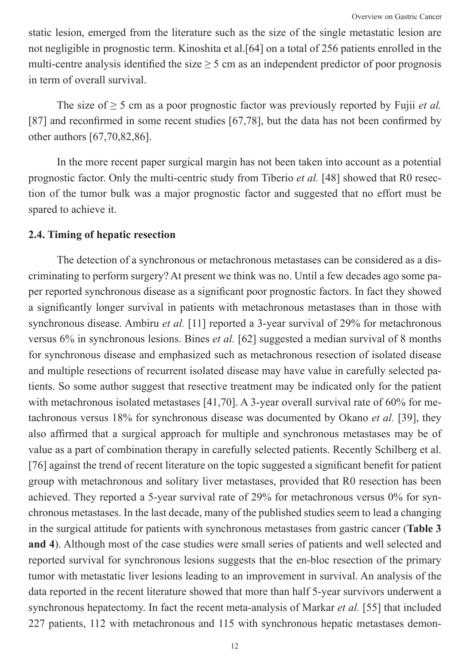static lesion, emerged from the literature such as the size of the single metastatic lesion are not negligible in prognostic term. Kinoshita et al.[64] on a total of 256 patients enrolled in the multi-centre analysis identified the size  $\geq$  5 cm as an independent predictor of poor prognosis in term of overall survival.

The size of  $\geq$  5 cm as a poor prognostic factor was previously reported by Fujii *et al.* [87] and reconfirmed in some recent studies [67,78], but the data has not been confirmed by other authors [67,70,82,86].

In the more recent paper surgical margin has not been taken into account as a potential prognostic factor. Only the multi-centric study from Tiberio *et al.* [48] showed that R0 resection of the tumor bulk was a major prognostic factor and suggested that no effort must be spared to achieve it.

#### **2.4. Timing of hepatic resection**

The detection of a synchronous or metachronous metastases can be considered as a discriminating to perform surgery? At present we think was no. Until a few decades ago some paper reported synchronous disease as a significant poor prognostic factors. In fact they showed a significantly longer survival in patients with metachronous metastases than in those with synchronous disease. Ambiru *et al.* [11] reported a 3-year survival of 29% for metachronous versus 6% in synchronous lesions. Bines *et al.* [62] suggested a median survival of 8 months for synchronous disease and emphasized such as metachronous resection of isolated disease and multiple resections of recurrent isolated disease may have value in carefully selected patients. So some author suggest that resective treatment may be indicated only for the patient with metachronous isolated metastases [41,70]. A 3-year overall survival rate of 60% for metachronous versus 18% for synchronous disease was documented by Okano *et al.* [39], they also affirmed that a surgical approach for multiple and synchronous metastases may be of value as a part of combination therapy in carefully selected patients. Recently Schilberg et al. [76] against the trend of recent literature on the topic suggested a significant benefit for patient group with metachronous and solitary liver metastases, provided that R0 resection has been achieved. They reported a 5-year survival rate of 29% for metachronous versus 0% for synchronous metastases. In the last decade, many of the published studies seem to lead a changing in the surgical attitude for patients with synchronous metastases from gastric cancer (**Table 3 and 4**). Although most of the case studies were small series of patients and well selected and reported survival for synchronous lesions suggests that the en-bloc resection of the primary tumor with metastatic liver lesions leading to an improvement in survival. An analysis of the data reported in the recent literature showed that more than half 5-year survivors underwent a synchronous hepatectomy. In fact the recent meta-analysis of Markar *et al.* [55] that included 227 patients, 112 with metachronous and 115 with synchronous hepatic metastases demon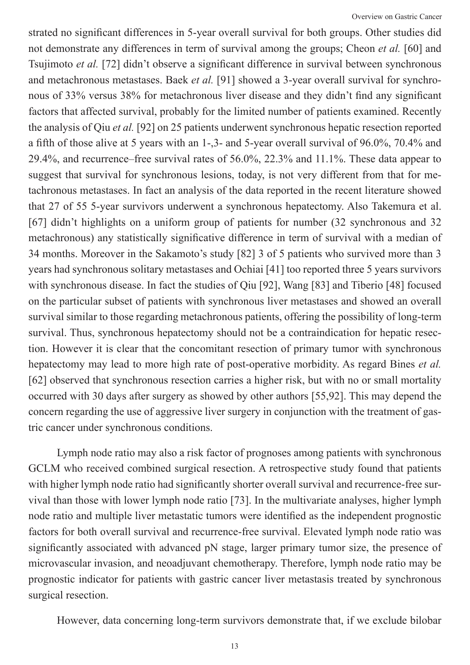strated no significant differences in 5-year overall survival for both groups. Other studies did not demonstrate any differences in term of survival among the groups; Cheon *et al.* [60] and Tsujimoto *et al.* [72] didn't observe a significant difference in survival between synchronous and metachronous metastases. Baek *et al.* [91] showed a 3-year overall survival for synchronous of 33% versus 38% for metachronous liver disease and they didn't find any significant factors that affected survival, probably for the limited number of patients examined. Recently the analysis of Qiu *et al.* [92] on 25 patients underwent synchronous hepatic resection reported a fifth of those alive at 5 years with an 1-,3- and 5-year overall survival of 96.0%, 70.4% and 29.4%, and recurrence–free survival rates of 56.0%, 22.3% and 11.1%. These data appear to suggest that survival for synchronous lesions, today, is not very different from that for metachronous metastases. In fact an analysis of the data reported in the recent literature showed that 27 of 55 5-year survivors underwent a synchronous hepatectomy. Also Takemura et al. [67] didn't highlights on a uniform group of patients for number (32 synchronous and 32 metachronous) any statistically significative difference in term of survival with a median of 34 months. Moreover in the Sakamoto's study [82] 3 of 5 patients who survived more than 3 years had synchronous solitary metastases and Ochiai [41] too reported three 5 years survivors with synchronous disease. In fact the studies of Qiu [92], Wang [83] and Tiberio [48] focused on the particular subset of patients with synchronous liver metastases and showed an overall survival similar to those regarding metachronous patients, offering the possibility of long-term survival. Thus, synchronous hepatectomy should not be a contraindication for hepatic resection. However it is clear that the concomitant resection of primary tumor with synchronous hepatectomy may lead to more high rate of post-operative morbidity. As regard Bines *et al.*  [62] observed that synchronous resection carries a higher risk, but with no or small mortality occurred with 30 days after surgery as showed by other authors [55,92]. This may depend the concern regarding the use of aggressive liver surgery in conjunction with the treatment of gastric cancer under synchronous conditions.

Lymph node ratio may also a risk factor of prognoses among patients with synchronous GCLM who received combined surgical resection. A retrospective study found that patients with higher lymph node ratio had significantly shorter overall survival and recurrence-free survival than those with lower lymph node ratio [73]. In the multivariate analyses, higher lymph node ratio and multiple liver metastatic tumors were identified as the independent prognostic factors for both overall survival and recurrence-free survival. Elevated lymph node ratio was significantly associated with advanced pN stage, larger primary tumor size, the presence of microvascular invasion, and neoadjuvant chemotherapy. Therefore, lymph node ratio may be prognostic indicator for patients with gastric cancer liver metastasis treated by synchronous surgical resection.

However, data concerning long-term survivors demonstrate that, if we exclude bilobar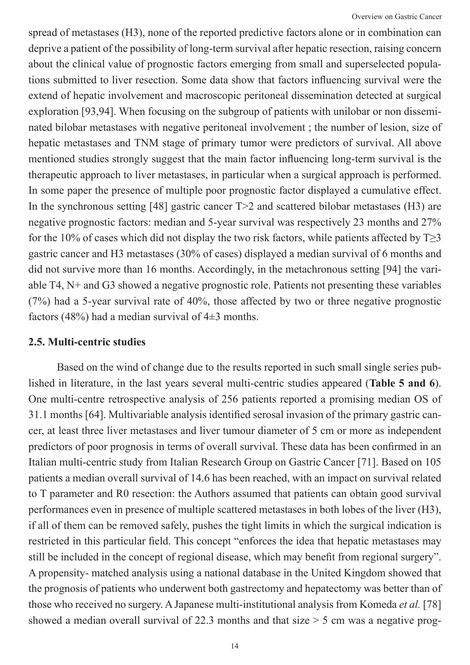spread of metastases (H3), none of the reported predictive factors alone or in combination can deprive a patient of the possibility of long-term survival after hepatic resection, raising concern about the clinical value of prognostic factors emerging from small and superselected populations submitted to liver resection. Some data show that factors influencing survival were the extend of hepatic involvement and macroscopic peritoneal dissemination detected at surgical exploration [93,94]. When focusing on the subgroup of patients with unilobar or non disseminated bilobar metastases with negative peritoneal involvement ; the number of lesion, size of hepatic metastases and TNM stage of primary tumor were predictors of survival. All above mentioned studies strongly suggest that the main factor influencing long-term survival is the therapeutic approach to liver metastases, in particular when a surgical approach is performed. In some paper the presence of multiple poor prognostic factor displayed a cumulative effect. In the synchronous setting [48] gastric cancer T > 2 and scattered bilobar metastases (H3) are negative prognostic factors: median and 5-year survival was respectively 23 months and 27% for the 10% of cases which did not display the two risk factors, while patients affected by  $T>3$ gastric cancer and H3 metastases (30% of cases) displayed a median survival of 6 months and did not survive more than 16 months. Accordingly, in the metachronous setting [94] the variable T4, N+ and G3 showed a negative prognostic role. Patients not presenting these variables (7%) had a 5-year survival rate of 40%, those affected by two or three negative prognostic factors (48%) had a median survival of  $4\pm 3$  months.

#### **2.5. Multi-centric studies**

Based on the wind of change due to the results reported in such small single series published in literature, in the last years several multi-centric studies appeared (**Table 5 and 6**). One multi-centre retrospective analysis of 256 patients reported a promising median OS of 31.1 months [64]. Multivariable analysis identified serosal invasion of the primary gastric cancer, at least three liver metastases and liver tumour diameter of 5 cm or more as independent predictors of poor prognosis in terms of overall survival. These data has been confirmed in an Italian multi-centric study from Italian Research Group on Gastric Cancer [71]. Based on 105 patients a median overall survival of 14.6 has been reached, with an impact on survival related to T parameter and R0 resection: the Authors assumed that patients can obtain good survival performances even in presence of multiple scattered metastases in both lobes of the liver (H3), if all of them can be removed safely, pushes the tight limits in which the surgical indication is restricted in this particular field. This concept "enforces the idea that hepatic metastases may still be included in the concept of regional disease, which may benefit from regional surgery". A propensity- matched analysis using a national database in the United Kingdom showed that the prognosis of patients who underwent both gastrectomy and hepatectomy was better than of those who received no surgery. A Japanese multi-institutional analysis from Komeda *et al.* [78] showed a median overall survival of 22.3 months and that size > 5 cm was a negative prog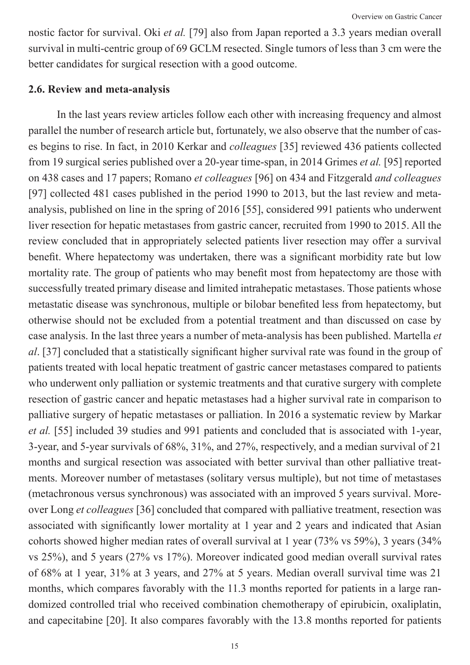nostic factor for survival. Oki *et al.* [79] also from Japan reported a 3.3 years median overall survival in multi-centric group of 69 GCLM resected. Single tumors of less than 3 cm were the better candidates for surgical resection with a good outcome.

#### **2.6. Review and meta-analysis**

In the last years review articles follow each other with increasing frequency and almost parallel the number of research article but, fortunately, we also observe that the number of cases begins to rise. In fact, in 2010 Kerkar and *colleagues* [35] reviewed 436 patients collected from 19 surgical series published over a 20-year time-span, in 2014 Grimes *et al.* [95] reported on 438 cases and 17 papers; Romano *et colleagues* [96] on 434 and Fitzgerald *and colleagues*  [97] collected 481 cases published in the period 1990 to 2013, but the last review and metaanalysis, published on line in the spring of 2016 [55], considered 991 patients who underwent liver resection for hepatic metastases from gastric cancer, recruited from 1990 to 2015. All the review concluded that in appropriately selected patients liver resection may offer a survival benefit. Where hepatectomy was undertaken, there was a significant morbidity rate but low mortality rate. The group of patients who may benefit most from hepatectomy are those with successfully treated primary disease and limited intrahepatic metastases. Those patients whose metastatic disease was synchronous, multiple or bilobar benefited less from hepatectomy, but otherwise should not be excluded from a potential treatment and than discussed on case by case analysis. In the last three years a number of meta-analysis has been published. Martella *et al*. [37] concluded that a statistically significant higher survival rate was found in the group of patients treated with local hepatic treatment of gastric cancer metastases compared to patients who underwent only palliation or systemic treatments and that curative surgery with complete resection of gastric cancer and hepatic metastases had a higher survival rate in comparison to palliative surgery of hepatic metastases or palliation. In 2016 a systematic review by Markar *et al.* [55] included 39 studies and 991 patients and concluded that is associated with 1-year, 3-year, and 5-year survivals of 68%, 31%, and 27%, respectively, and a median survival of 21 months and surgical resection was associated with better survival than other palliative treatments. Moreover number of metastases (solitary versus multiple), but not time of metastases (metachronous versus synchronous) was associated with an improved 5 years survival. Moreover Long *et colleagues* [36] concluded that compared with palliative treatment, resection was associated with significantly lower mortality at 1 year and 2 years and indicated that Asian cohorts showed higher median rates of overall survival at 1 year (73% vs 59%), 3 years (34% vs 25%), and 5 years (27% vs 17%). Moreover indicated good median overall survival rates of 68% at 1 year, 31% at 3 years, and 27% at 5 years. Median overall survival time was 21 months, which compares favorably with the 11.3 months reported for patients in a large randomized controlled trial who received combination chemotherapy of epirubicin, oxaliplatin, and capecitabine [20]. It also compares favorably with the 13.8 months reported for patients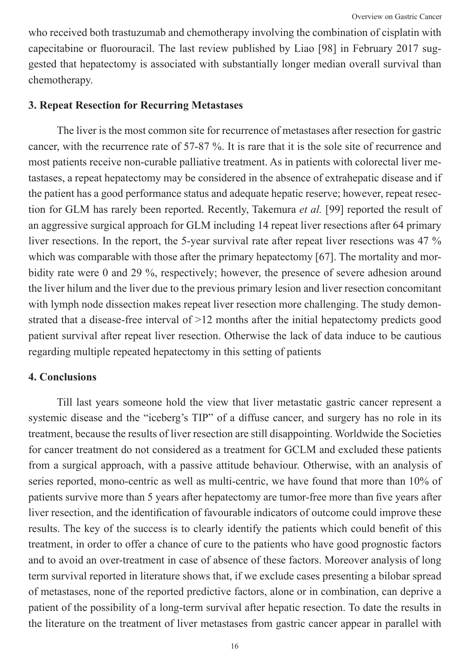who received both trastuzumab and chemotherapy involving the combination of cisplatin with capecitabine or fluorouracil. The last review published by Liao [98] in February 2017 suggested that hepatectomy is associated with substantially longer median overall survival than chemotherapy.

#### **3. Repeat Resection for Recurring Metastases**

The liver is the most common site for recurrence of metastases after resection for gastric cancer, with the recurrence rate of 57-87 %. It is rare that it is the sole site of recurrence and most patients receive non-curable palliative treatment. As in patients with colorectal liver metastases, a repeat hepatectomy may be considered in the absence of extrahepatic disease and if the patient has a good performance status and adequate hepatic reserve; however, repeat resection for GLM has rarely been reported. Recently, Takemura *et al.* [99] reported the result of an aggressive surgical approach for GLM including 14 repeat liver resections after 64 primary liver resections. In the report, the 5-year survival rate after repeat liver resections was 47 % which was comparable with those after the primary hepatectomy [67]. The mortality and morbidity rate were 0 and 29 %, respectively; however, the presence of severe adhesion around the liver hilum and the liver due to the previous primary lesion and liver resection concomitant with lymph node dissection makes repeat liver resection more challenging. The study demonstrated that a disease-free interval of >12 months after the initial hepatectomy predicts good patient survival after repeat liver resection. Otherwise the lack of data induce to be cautious regarding multiple repeated hepatectomy in this setting of patients

#### **4. Conclusions**

Till last years someone hold the view that liver metastatic gastric cancer represent a systemic disease and the "iceberg's TIP" of a diffuse cancer, and surgery has no role in its treatment, because the results of liver resection are still disappointing. Worldwide the Societies for cancer treatment do not considered as a treatment for GCLM and excluded these patients from a surgical approach, with a passive attitude behaviour. Otherwise, with an analysis of series reported, mono-centric as well as multi-centric, we have found that more than 10% of patients survive more than 5 years after hepatectomy are tumor-free more than five years after liver resection, and the identification of favourable indicators of outcome could improve these results. The key of the success is to clearly identify the patients which could benefit of this treatment, in order to offer a chance of cure to the patients who have good prognostic factors and to avoid an over-treatment in case of absence of these factors. Moreover analysis of long term survival reported in literature shows that, if we exclude cases presenting a bilobar spread of metastases, none of the reported predictive factors, alone or in combination, can deprive a patient of the possibility of a long-term survival after hepatic resection. To date the results in the literature on the treatment of liver metastases from gastric cancer appear in parallel with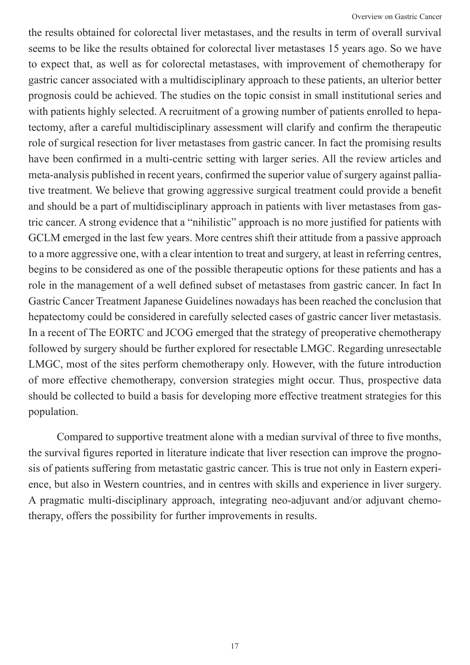the results obtained for colorectal liver metastases, and the results in term of overall survival seems to be like the results obtained for colorectal liver metastases 15 years ago. So we have to expect that, as well as for colorectal metastases, with improvement of chemotherapy for gastric cancer associated with a multidisciplinary approach to these patients, an ulterior better prognosis could be achieved. The studies on the topic consist in small institutional series and with patients highly selected. A recruitment of a growing number of patients enrolled to hepatectomy, after a careful multidisciplinary assessment will clarify and confirm the therapeutic role of surgical resection for liver metastases from gastric cancer. In fact the promising results have been confirmed in a multi-centric setting with larger series. All the review articles and meta-analysis published in recent years, confirmed the superior value of surgery against palliative treatment. We believe that growing aggressive surgical treatment could provide a benefit and should be a part of multidisciplinary approach in patients with liver metastases from gastric cancer. A strong evidence that a "nihilistic" approach is no more justified for patients with GCLM emerged in the last few years. More centres shift their attitude from a passive approach to a more aggressive one, with a clear intention to treat and surgery, at least in referring centres, begins to be considered as one of the possible therapeutic options for these patients and has a role in the management of a well defined subset of metastases from gastric cancer. In fact In Gastric Cancer Treatment Japanese Guidelines nowadays has been reached the conclusion that hepatectomy could be considered in carefully selected cases of gastric cancer liver metastasis. In a recent of The EORTC and JCOG emerged that the strategy of preoperative chemotherapy followed by surgery should be further explored for resectable LMGC. Regarding unresectable LMGC, most of the sites perform chemotherapy only. However, with the future introduction of more effective chemotherapy, conversion strategies might occur. Thus, prospective data should be collected to build a basis for developing more effective treatment strategies for this population.

Compared to supportive treatment alone with a median survival of three to five months, the survival figures reported in literature indicate that liver resection can improve the prognosis of patients suffering from metastatic gastric cancer. This is true not only in Eastern experience, but also in Western countries, and in centres with skills and experience in liver surgery. A pragmatic multi-disciplinary approach, integrating neo-adjuvant and/or adjuvant chemotherapy, offers the possibility for further improvements in results.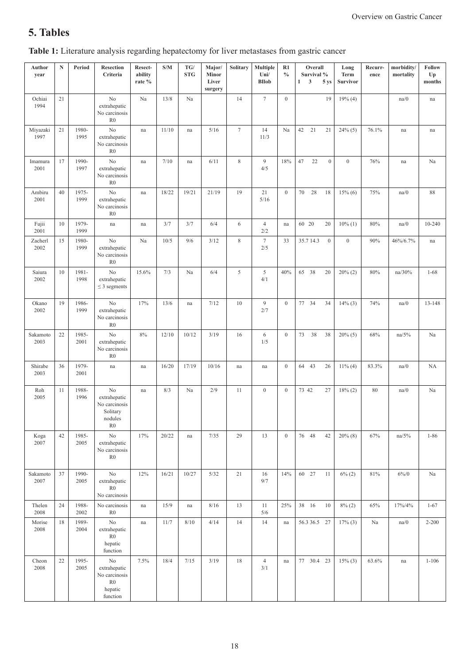# **5. Tables**

| Author<br>year   | $\mathbf N$ | Period        | <b>Resection</b><br>Criteria                                                         | Resect-<br>ability<br>rate % | S/M   | $\mathbf{T}\mathbf{G}/$<br><b>STG</b> | Major/<br>Minor<br>Liver<br>surgery | Solitary    | Multiple<br>Uni/<br><b>BIlob</b> | R1<br>$\frac{0}{0}$ | Overall<br>Survival %<br>$\mathbf{3}$<br>$\mathbf{1}$<br>5 ys | Long<br>Term<br><b>Survivor</b> | Recurr-<br>ence | morbidity/<br>mortality | Follow<br>$U_{p}$<br>months |
|------------------|-------------|---------------|--------------------------------------------------------------------------------------|------------------------------|-------|---------------------------------------|-------------------------------------|-------------|----------------------------------|---------------------|---------------------------------------------------------------|---------------------------------|-----------------|-------------------------|-----------------------------|
| Ochiai<br>1994   | 21          |               | N <sub>0</sub><br>extrahepatic<br>No carcinosis<br>R <sub>0</sub>                    | Na                           | 13/8  | Na                                    |                                     | 14          | $\tau$                           | $\boldsymbol{0}$    | 19                                                            | 19% (4)                         |                 | na/0                    | na                          |
| Miyazaki<br>1997 | 21          | 1980-<br>1995 | No<br>extrahepatic<br>No carcinosis<br>R <sub>0</sub>                                | na                           | 11/10 | na                                    | 5/16                                | $\tau$      | 14<br>11/3                       | Na                  | 42<br>21<br>21                                                | $24\%$ (5)                      | 76.1%           | na                      | na                          |
| Imamura<br>2001  | 17          | 1990-<br>1997 | N <sub>o</sub><br>extrahepatic<br>No carcinosis<br>R <sub>0</sub>                    | na                           | 7/10  | na                                    | 6/11                                | $\,$ 8 $\,$ | 9<br>4/5                         | 18%                 | $\overline{0}$<br>47<br>22                                    | $\mathbf{0}$                    | 76%             | na                      | Na                          |
| Ambiru<br>2001   | 40          | 1975-<br>1999 | N <sub>0</sub><br>extrahepatic<br>No carcinosis<br>R <sub>0</sub>                    | na                           | 18/22 | 19/21                                 | 21/19                               | 19          | 21<br>5/16                       | $\boldsymbol{0}$    | 70<br>28<br>18                                                | $15\%$ (6)                      | 75%             | na/0                    | 88                          |
| Fujii<br>2001    | 10          | 1979-<br>1999 | na                                                                                   | na                           | 3/7   | 3/7                                   | 6/4                                 | 6           | $\overline{4}$<br>2/2            | na                  | 60 20<br>20                                                   | $10\%$ (1)                      | 80%             | na/0                    | 10-240                      |
| Zacherl<br>2002  | 15          | 1980-<br>1999 | No<br>extrahepatic<br>No carcinosis<br>R <sub>0</sub>                                | Na                           | 10/5  | 9/6                                   | 3/12                                | 8           | $\tau$<br>2/5                    | 33                  | $\boldsymbol{0}$<br>35.7 14.3                                 | $\mathbf{0}$                    | 90%             | 46%/6.7%                | na                          |
| Saiura<br>2002   | 10          | 1981-<br>1998 | No<br>extrahepatic<br>$\leq$ 3 segments                                              | 15.6%                        | 7/3   | Na                                    | 6/4                                 | 5           | 5<br>4/1                         | 40%                 | 65<br>38<br>20                                                | $20\% (2)$                      | 80%             | na/30%                  | $1 - 68$                    |
| Okano<br>2002    | 19          | 1986-<br>1999 | N <sub>0</sub><br>extrahepatic<br>No carcinosis<br>R <sub>0</sub>                    | 17%                          | 13/6  | na                                    | 7/12                                | 10          | $\overline{9}$<br>2/7            | $\mathbf{0}$        | 77 34<br>34                                                   | $14\%$ (3)                      | 74%             | na/0                    | 13-148                      |
| Sakamoto<br>2003 | 22          | 1985-<br>2001 | N <sub>0</sub><br>extrahepatic<br>No carcinosis<br>R <sub>0</sub>                    | 8%                           | 12/10 | 10/12                                 | 3/19                                | 16          | 6<br>1/5                         | $\boldsymbol{0}$    | 73<br>38<br>38                                                | $20\%$ (5)                      | 68%             | na/5%                   | Na                          |
| Shirabe<br>2003  | 36          | 1979-<br>2001 | na                                                                                   | na                           | 16/20 | 17/19                                 | 10/16                               | na          | na                               | $\mathbf{0}$        | 43<br>64<br>26                                                | $11\%$ (4)                      | 83.3%           | na/0                    | NA                          |
| Roh<br>2005      | 11          | 1988-<br>1996 | N <sub>0</sub><br>extrahepatic<br>No carcinosis<br>Solitary<br>nodules<br>${\rm R0}$ | na                           | 8/3   | Na                                    | 2/9                                 | 11          | $\boldsymbol{0}$                 | $\boldsymbol{0}$    | 73 42<br>27                                                   | 18% (2)                         | 80              | na/0                    | Na                          |
| Koga<br>2007     | 42          | 1985-<br>2005 | $\rm No$<br>extrahepatic<br>No carcinosis<br>R <sub>0</sub>                          | 17%                          | 20/22 | na                                    | 7/35                                | 29          | 13                               | $\mathbf{0}$        | 76 48<br>42                                                   | $20\%$ (8)                      | 67%             | na/5%                   | $1 - 86$                    |
| Sakamoto<br>2007 | 37          | 1990-<br>2005 | N <sub>0</sub><br>extrahepatic<br>${\rm R0}$<br>No carcinosis                        | 12%                          | 16/21 | 10/27                                 | 5/32                                | 21          | 16<br>9/7                        | 14%                 | 60 27<br>11                                                   | $6\%$ (2)                       | 81%             | $6\%/0$                 | Na                          |
| Thelen<br>2008   | 24          | 1988-<br>2002 | No carcinosis<br>${\rm R0}$                                                          | $\operatorname{na}$          | 15/9  | na                                    | 8/16                                | 13          | 11<br>5/6                        | 25%                 | 38 16<br>10                                                   | $8\%$ (2)                       | 65%             | 17%/4%                  | $1 - 67$                    |
| Morise<br>2008   | 18          | 1989-<br>2004 | No<br>extrahepatic<br>R <sub>0</sub><br>hepatic<br>function                          | na                           | 11/7  | 8/10                                  | 4/14                                | 14          | 14                               | $\operatorname{na}$ | 56.3 36.5 27                                                  | $17%$ (3)                       | Na              | na/0                    | $2 - 200$                   |
| Cheon<br>2008    | 22          | 1995-<br>2005 | $\rm No$<br>extrahepatic<br>No carcinosis<br>${\rm R0}$<br>hepatic<br>function       | 7.5%                         | 18/4  | 7/15                                  | 3/19                                | 18          | $\overline{4}$<br>3/1            | $\operatorname{na}$ | 77<br>30.4 23                                                 | $15\%$ (3)                      | 63.6%           | na                      | $1 - 106$                   |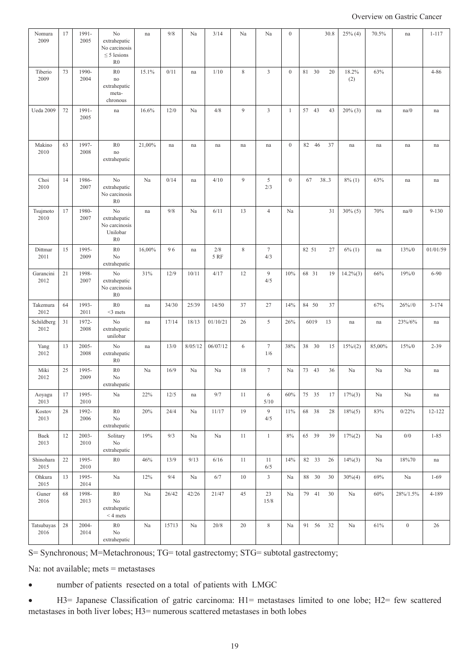Overview on Gastric Cancer

| Nomura<br>2009     | 17 | 1991-<br>2005    | No<br>extrahepatic<br>No carcinosis<br>$\leq$ 5 lesions<br>R <sub>0</sub> | na     | 9/8   | Na      | 3/14        | Na             | Na                     | $\boldsymbol{0}$ | 30.8           | $25\%$ (4)   | 70.5%  | na               | $1 - 117$           |
|--------------------|----|------------------|---------------------------------------------------------------------------|--------|-------|---------|-------------|----------------|------------------------|------------------|----------------|--------------|--------|------------------|---------------------|
| Tiberio<br>2009    | 73 | 1990-<br>2004    | R <sub>0</sub><br>no<br>extrahepatic<br>meta-<br>chronous                 | 15.1%  | 0/11  | na      | 1/10        | $\,$ 8 $\,$    | $\mathfrak{Z}$         | $\mathbf{0}$     | 81 30<br>20    | 18.2%<br>(2) | 63%    |                  | $4 - 86$            |
| Ueda 2009          | 72 | 1991-<br>2005    | na                                                                        | 16.6%  | 12/0  | Na      | 4/8         | 9              | $\overline{3}$         | 1                | 57 43<br>43    | $20\%$ (3)   | na     | na/0             | na                  |
| Makino<br>2010     | 63 | 1997-<br>2008    | R <sub>0</sub><br>no<br>extrahepatic                                      | 21,00% | na    | na      | na          | na             | na                     | $\boldsymbol{0}$ | 46<br>37<br>82 | na           | na     | na               | na                  |
| Choi<br>2010       | 14 | 1986-<br>2007    | No<br>extrahepatic<br>No carcinosis<br>R <sub>0</sub>                     | Na     | 0/14  | na      | 4/10        | $\overline{9}$ | 5<br>2/3               | $\boldsymbol{0}$ | 67<br>38.3     | $8\%$ (1)    | 63%    | na               | na                  |
| Tsujmoto<br>2010   | 17 | 1980-<br>2007    | No<br>extrahepatic<br>No carcinosis<br>Unilobar<br>R <sub>0</sub>         | na     | 9/8   | Na      | 6/11        | 13             | $\overline{4}$         | Na               | 31             | $30\% (5)$   | 70%    | na/0             | $9 - 130$           |
| Dittmar<br>2011    | 15 | 1995-<br>2009    | R <sub>0</sub><br>No<br>extrahepatic                                      | 16,00% | 96    | na      | 2/8<br>5 RF | 8              | $7\phantom{.0}$<br>4/3 |                  | 82 51<br>27    | $6\%$ (1)    | na     | 13%/0            | 01/01/59            |
| Garancini<br>2012  | 21 | 1998-<br>2007    | N <sub>0</sub><br>extrahepatic<br>No carcinosis<br>R <sub>0</sub>         | 31%    | 12/9  | 10/11   | 4/17        | 12             | 9<br>4/5               | 10%              | 68 31<br>19    | $14.2\%(3)$  | 66%    | 19%/0            | $6 - 90$            |
| Takemura<br>2012   | 64 | 1993-<br>2011    | R <sub>0</sub><br>$<$ 3 mets                                              | na     | 34/30 | 25/39   | 14/50       | 37             | 27                     | 14%              | 84 50<br>37    |              | 67%    | $26\%/0$         | $3 - 174$           |
| Schildberg<br>2012 | 31 | 1972-<br>2008    | No<br>extrahepatic<br>unilobar                                            | na     | 17/14 | 18/13   | 01/10/21    | 26             | 5                      | 26%              | 6019<br>13     | na           | na     | 23%/6%           | na                  |
| Yang<br>2012       | 13 | 2005-<br>2008    | No<br>extrahepatic<br>R <sub>0</sub>                                      | na     | 13/0  | 8/05/12 | 06/07/12    | $\sqrt{6}$     | $\tau$<br>1/6          | 38%              | 38 30<br>15    | $15\%/2)$    | 85,00% | 15%/0            | $2 - 39$            |
| Miki<br>2012       | 25 | 1995-<br>2009    | R <sub>0</sub><br>No<br>extrahepatic                                      | Na     | 16/9  | Na      | Na          | 18             | $7\phantom{.0}$        | Na               | 73 43<br>36    | Na           | Na     | Na               | na                  |
| Aoyagu<br>2013     | 17 | 1995-<br>2010    | $\rm Na$                                                                  | 22%    | 12/5  | na      | 9/7         | 11             | 6<br>$5/10$            | 60%              | 75 35<br>17    | $17\%$ (3)   | Na     | $\rm Na$         | na                  |
| Kostov<br>2013     | 28 | 1992-<br>2006    | R <sub>0</sub><br>No<br>extrahepatic                                      | 20%    | 24/4  | Na      | 11/17       | 19             | 9<br>4/5               | 11%              | 68 38<br>28    | $18\%(5)$    | 83%    | 0/22%            | 12-122              |
| Baek<br>2013       | 12 | $2003 -$<br>2010 | Solitary<br>$\rm No$<br>extrahepatic                                      | 19%    | 9/3   | Na      | Na          | 11             | $\mathbf{1}$           | $8\%$            | 65 39<br>39    | 17% (2)      | Na     | $0/0$            | $1 - 85$            |
| Shinohara<br>2015  | 22 | 1995-<br>2010    | ${\rm R0}$                                                                | 46%    | 13/9  | 9/13    | 6/16        | 11             | 11<br>6/5              | 14%              | 82 33<br>26    | $14\%$ (3)   | Na     | 18%70            | $\operatorname{na}$ |
| Ohkura<br>2015     | 13 | 1995-<br>2014    | Na                                                                        | 12%    | 9/4   | Na      | 6/7         | 10             | $\mathfrak{Z}$         | Na               | 88 30<br>30    | $30\%(4)$    | 69%    | Na               | $1 - 69$            |
| Guner<br>2016      | 68 | 1998-<br>2013    | ${\rm R0}$<br>$\rm No$<br>extrahepatic<br>$< 4 \; \rm{mets}$              | Na     | 26/42 | 42/26   | 21/47       | 45             | 23<br>15/8             | Na               | 79 41<br>30    | Na           | 60%    | $28\%/1.5\%$     | $4 - 189$           |
| Tatsubayas<br>2016 | 28 | $2004 -$<br>2014 | ${\rm R0}$<br>No<br>extrahepatic                                          | Na     | 15713 | Na      | 20/8        | $20\,$         | $\,$ 8 $\,$            | Na               | 91 56<br>32    | Na           | 61%    | $\boldsymbol{0}$ | 26                  |

S= Synchronous; M=Metachronous; TG= total gastrectomy; STG= subtotal gastrectomy;

Na: not available; mets = metastases

number of patients resected on a total of patients with LMGC

• H3= Japanese Classification of gatric carcinoma: H1= metastases limited to one lobe; H2= few scattered metastases in both liver lobes; H3= numerous scattered metastases in both lobes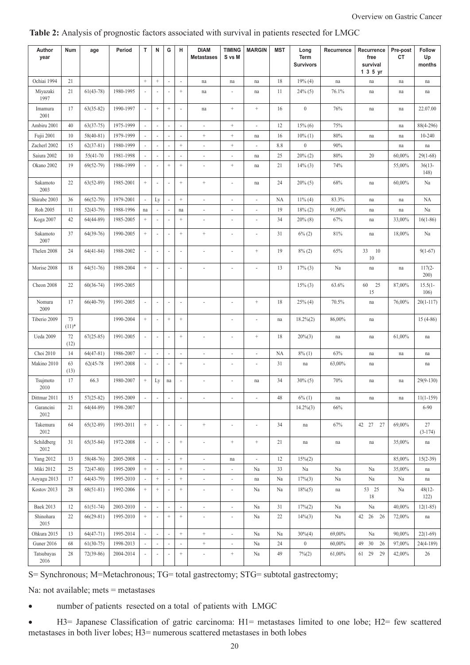| Author<br>year     | Num            | age         | Period    | т                        | N                        | G                        | н                        | <b>DIAM</b><br><b>Metastases</b> | <b>TIMING</b><br>S vs M  | <b>MARGIN</b>            | <b>MST</b> | Long<br>Term<br><b>Survivors</b> | Recurrence | Recurrence<br>free<br>survival<br>1 3 5 yr | Pre-post<br>CT | <b>Follow</b><br>Up<br>months |
|--------------------|----------------|-------------|-----------|--------------------------|--------------------------|--------------------------|--------------------------|----------------------------------|--------------------------|--------------------------|------------|----------------------------------|------------|--------------------------------------------|----------------|-------------------------------|
| Ochiai 1994        | 21             |             |           | $^+$                     | $^+$                     |                          | $\overline{\phantom{a}}$ | na                               | na                       | na                       | 18         | 19% (4)                          | na         | na                                         | na             | na                            |
| Miyazaki<br>1997   | 21             | $61(43-78)$ | 1980-1995 | $\bar{\phantom{a}}$      | ÷,                       |                          | $^+$                     | na                               | $\overline{\phantom{a}}$ | na                       | 11         | $24\%$ (5)                       | 76.1%      | na                                         | na             | na                            |
| Imamura<br>2001    | 17             | $63(35-82)$ | 1990-1997 | $\blacksquare$           | $^+$                     | $\! + \!\!\!\!$          | $\sim$                   | na                               | $^+$                     | $^+$                     | 16         | $\boldsymbol{0}$                 | 76%        | na                                         | na             | 22.07.00                      |
| Ambiru 2001        | 40             | $63(37-75)$ | 1975-1999 | $\overline{\phantom{a}}$ | $\overline{\phantom{a}}$ |                          | ÷,                       | $\frac{1}{2}$                    | $\qquad \qquad +$        | ÷,                       | 12         | $15\%$ (6)                       | 75%        |                                            | na             | 88(4-296)                     |
| Fujii 2001         | 10             | $58(40-81)$ | 1979-1999 | $\sim$                   | ÷,                       |                          | ä,                       | $^+$                             | $^+$                     | na                       | 16         | $10\%$ (1)                       | 80%        | na                                         | na             | $10 - 240$                    |
| Zacherl 2002       | 15             | $62(37-81)$ | 1980-1999 | $\omega$                 | J.                       |                          | $\ddot{}$                | ä,                               | $\qquad \qquad +$        | ä,                       | 8.8        | $\boldsymbol{0}$                 | 90%        |                                            | na             | na                            |
| Saiura 2002        | 10             | 55(41-70)   | 1981-1998 | $\overline{\phantom{a}}$ | ÷,                       |                          | $\frac{1}{2}$            | ä,                               | $\blacksquare$           | na                       | 25         | $20\% (2)$                       | 80%        | 20                                         | 60,00%         | $29(1-68)$                    |
| Okano 2002         | 19             | $69(52-79)$ | 1986-1999 | $\overline{\phantom{a}}$ | ÷,                       | $^{+}$                   | $^+$                     | $\overline{\phantom{a}}$         | $^+$                     | na                       | 21         | $14\%$ (3)                       | 74%        |                                            | 55,00%         | $36(13 -$<br>148)             |
| Sakamoto<br>2003   | 22             | $63(52-89)$ | 1985-2001 | $\,+\,$                  |                          |                          | $\qquad \qquad +$        | $\boldsymbol{+}$                 | $\sim$                   | na                       | 24         | $20\%$ (5)                       | 68%        | na                                         | 60,00%         | Na                            |
| Shirabe 2003       | 36             | $66(52-79)$ | 1979-2001 | $\omega$                 | Ly                       |                          | $^+$                     | ÷,                               | $\blacksquare$           | $\Box$                   | <b>NA</b>  | $11\%$ (4)                       | 83.3%      | na                                         | na             | <b>NA</b>                     |
| Roh 2005           | 11             | $52(43-79)$ | 1988-1996 | na                       |                          |                          | na                       | ÷,                               | $\overline{\phantom{a}}$ | ÷,                       | 19         | $18\% (2)$                       | 91,00%     | na                                         | na             | Na                            |
| <b>Koga 2007</b>   | 42             | $64(44-89)$ | 1985-2005 | $^+$                     |                          |                          | $^{+}$                   | ÷,                               | $\overline{\phantom{a}}$ | ÷,                       | 34         | $20\%$ (8)                       | 67%        | na                                         | 33,00%         | $16(1-86)$                    |
| Sakamoto<br>2007   | 37             | $64(39-76)$ | 1990-2005 | $\boldsymbol{+}$         | ÷,                       |                          | $^{+}$                   | $^+$                             | $\overline{\phantom{a}}$ | ÷,                       | 31         | $6\%$ (2)                        | 81%        | na                                         | 18,00%         | Na                            |
| Thelen 2008        | 24             | $64(41-84)$ | 1988-2002 | $\overline{\phantom{a}}$ | ÷,                       |                          | $\overline{\phantom{a}}$ | $\overline{\phantom{a}}$         | $\blacksquare$           | $^+$                     | 19         | $8\%$ (2)                        | 65%        | 33<br>10<br>10                             |                | $9(1-67)$                     |
| Morise 2008        | 18             | $64(51-76)$ | 1989-2004 | $\,+\,$                  |                          |                          | $\bar{a}$                |                                  |                          |                          | 13         | $17%$ (3)                        | Na         | na                                         | na             | $117(2 -$<br>200)             |
| Cheon 2008         | 22             | $60(36-74)$ | 1995-2005 |                          |                          |                          |                          |                                  |                          |                          |            | $15\%$ (3)                       | 63.6%      | 60<br>25<br>15                             | 87,00%         | $15.5(1 -$<br>106)            |
| Nomura<br>2009     | 17             | $66(40-79)$ | 1991-2005 | ÷,                       | ÷,                       |                          | ä,                       |                                  | ä,                       | $\boldsymbol{+}$         | 18         | $25\%$ (4)                       | 70.5%      | na                                         | 76,00%         | $20(1-117)$                   |
| Tiberio 2009       | 73<br>$(11)^*$ |             | 1990-2004 | $^+$                     | ÷,                       | $\! + \!\!\!\!$          | $^+$                     |                                  | $\overline{\phantom{a}}$ | ÷,                       | na         | $18.2\%(2)$                      | 86,00%     | na                                         |                | $15(4-86)$                    |
| <b>Ueda 2009</b>   | 72<br>(12)     | $67(25-85)$ | 1991-2005 | $\blacksquare$           | ÷,                       |                          | $\qquad \qquad +$        | $\frac{1}{2}$                    | $\blacksquare$           | $^+$                     | 18         | $20\%(3)$                        | na         | na                                         | 61,00%         | na                            |
| Choi 2010          | 14             | $64(47-81)$ | 1986-2007 | $\overline{\phantom{a}}$ | ÷,                       |                          | $\overline{\phantom{a}}$ | Ĭ.                               | $\blacksquare$           | ä,                       | <b>NA</b>  | $8\%$ (1)                        | 63%        | na                                         | na             | na                            |
| Makino 2010        | 63<br>(13)     | 62(45-78)   | 1997-2008 | $\overline{\phantom{a}}$ | ÷,                       |                          | $^+$                     | ä,                               | $\blacksquare$           | ä,                       | 31         | na                               | 63,00%     | na                                         |                | na                            |
| Tsujmoto<br>2010   | 17             | 66.3        | 1980-2007 | $^+$                     | Ly                       | na                       | ä,                       | $\frac{1}{2}$                    | $\blacksquare$           | na                       | 34         | $30\% (5)$                       | 70%        | na                                         | na             | $29(9-130)$                   |
| Dittmar 2011       | 15             | $57(25-82)$ | 1995-2009 | $\overline{\phantom{a}}$ | $\overline{\phantom{a}}$ | $\overline{\phantom{a}}$ | $\overline{\phantom{a}}$ | $\overline{\phantom{a}}$         | $\overline{\phantom{a}}$ | $\overline{\phantom{a}}$ | 48         | $6\%$ (1)                        | na         | na                                         | na             | $11(1-159)$                   |
| Garancini<br>2012  | 21             | $64(44-89)$ | 1998-2007 |                          |                          |                          |                          |                                  |                          |                          |            | $14.2\%(3)$                      | 66%        |                                            |                | 6-90                          |
| Takemura<br>2012   | 64             | $65(32-89)$ | 1993-2011 | $^+$                     | ÷,                       |                          | ä,                       | $^+$                             | $\sim$                   | ÷,                       | 34         | na                               | 67%        | 42 27 27                                   | 69,00%         | 27<br>$(3-174)$               |
| Schildberg<br>2012 | 31             | $65(35-84)$ | 1972-2008 | $\Box$                   | ÷,                       |                          | $^+$                     | ä,                               | $^+$                     | $^+$                     | 21         | na                               | na         | na                                         | 35,00%         | na                            |
| <b>Yang 2012</b>   | 13             | 58(48-76)   | 2005-2008 | $\overline{\phantom{a}}$ | $\overline{\phantom{a}}$ |                          | $^+$                     | $\overline{\phantom{a}}$         | na                       | ÷                        | 12         | $15\%(2)$                        |            |                                            | 85,00%         | $15(2-39)$                    |
| Miki 2012          | 25             | $72(47-80)$ | 1995-2009 | $^+$                     | $\overline{\phantom{a}}$ |                          | $\! +$                   | $\overline{\phantom{a}}$         | ÷,                       | Na                       | 33         | Na                               | Na         | Na                                         | 35,00%         | na                            |
| Aoyagu 2013        | 17             | $64(43-79)$ | 1995-2010 | $\overline{\phantom{a}}$ | $^+$                     |                          | $^+$                     | ÷,                               | $\blacksquare$           | na                       | Na         | $17%$ (3)                        | Na         | Na                                         | Na             | na                            |
| Kostov 2013        | 28             | $68(51-81)$ | 1992-2006 | $^+$                     | $^+$                     |                          | $^+$                     | ÷,                               | $\blacksquare$           | Na                       | Na         | $18\%(5)$                        | na         | 53 25<br>$18\,$                            | Na             | $48(12 -$<br>122)             |
| <b>Baek 2013</b>   | 12             | $61(51-74)$ | 2003-2010 | $\overline{\phantom{a}}$ | $\blacksquare$           | ÷,                       | $\overline{\phantom{a}}$ | $\overline{\phantom{a}}$         | $\overline{\phantom{a}}$ | Na                       | 31         | 17% (2)                          | Na         | $\rm Na$                                   | 40,00%         | $12(1-85)$                    |
| Shinohara<br>2015  | 22             | $66(29-81)$ | 1995-2010 | $^+$                     | J.                       | $+$                      | $\qquad \qquad +$        | $\blacksquare$                   | $\overline{\phantom{a}}$ | Na                       | 22         | $14\%$ (3)                       | Na         | 42 26<br>26                                | 72,00%         | na                            |
| Ohkura 2015        | 13             | $64(47-71)$ | 1995-2014 | $\bar{\phantom{a}}$      | $\overline{\phantom{a}}$ |                          | $^+$                     | $^+$                             | $\blacksquare$           | Na                       | Na         | $30\%(4)$                        | 69,00%     | Na                                         | 90,00%         | $22(1-69)$                    |
| Guner 2016         | 68             | $61(30-75)$ | 1998-2013 |                          | ÷,                       |                          |                          | $^+$                             | $\overline{\phantom{a}}$ | Na                       | 24         | $\boldsymbol{0}$                 | 60,00%     | 49<br>30<br>26                             | 97,00%         | $24(4-189)$                   |
| Tatsubayas<br>2016 | 28             | $72(39-86)$ | 2004-2014 | $\overline{\phantom{a}}$ | $\overline{\phantom{a}}$ |                          | $^+$                     | ÷,                               | $^+$                     | Na                       | 49         | $7\%$ (2)                        | 61,00%     | 61 29<br>29                                | 42,00%         | 26                            |

#### **Table 2:** Analysis of prognostic factors associated with survival in patients resected for LMGC

S= Synchronous; M=Metachronous; TG= total gastrectomy; STG= subtotal gastrectomy;

Na: not available; mets = metastases

number of patients resected on a total of patients with LMGC

• H3= Japanese Classification of gatric carcinoma: H1= metastases limited to one lobe; H2= few scattered metastases in both liver lobes; H3= numerous scattered metastases in both lobes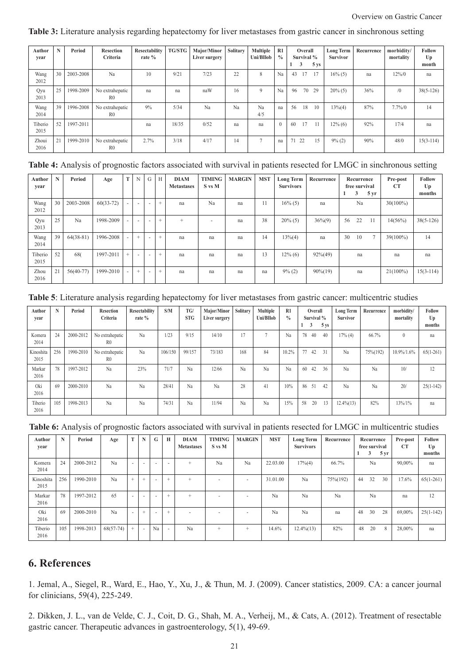| Author<br>vear  | N  | Period    | <b>Resection</b><br>Criteria      | Resectability<br>rate % | TG/STG | Major/Minor<br>Liver surgery | Solitary | <b>Multiple</b><br>Uni/BIlob | R1<br>$^{0}/_{0}$ | 1  | Overall<br>Survival %<br>3 | 5 <sub>ys</sub> | <b>Long Term</b><br><b>Survivor</b> | Recurrence | morbidity/<br>mortality | Follow<br>Up<br>month |
|-----------------|----|-----------|-----------------------------------|-------------------------|--------|------------------------------|----------|------------------------------|-------------------|----|----------------------------|-----------------|-------------------------------------|------------|-------------------------|-----------------------|
| Wang<br>2012    | 30 | 2003-2008 | Na                                | 10                      | 9/21   | 7/23                         | 22       | 8                            | Na                | 43 | 17                         | 17              | $16\%$ (5)                          | na         | $12\%/0$                | na                    |
| Qyu<br>2013     | 25 | 1998-2009 | No extrahepatic<br>R <sub>0</sub> | na                      | na     | naW                          | 16       | $\mathbf Q$                  | Na                | 96 | 70                         | 29              | $20\%$ (5)                          | 36%        | (0)                     | $38(5 - 126)$         |
| Wang<br>2014    | 39 | 1996-2008 | No extrahepatic<br>R <sub>0</sub> | 9%                      | 5/34   | Na                           | Na       | Na<br>4/5                    | na                | 56 | 18                         | 10              | $13\% (4)$                          | 87%        | $7.7\%/0$               | 14                    |
| Tiberio<br>2015 | 52 | 1997-2011 |                                   | na                      | 18/35  | 0/52                         | na       | na                           | $\overline{0}$    | 60 | 17                         | 11              | $12\%$ (6)                          | 92%        | 17/4                    | na                    |
| Zhoui<br>2016   | 21 | 1999-2010 | No extrahepatic<br>R <sub>0</sub> | 2.7%                    | 3/18   | 4/17                         | 14       | n                            | na                |    | 71 22                      | 15              | $9\%$ (2)                           | 90%        | 48/0                    | $15(3-114)$           |

#### **Table 3:** Literature analysis regarding hepatectomy for liver metastases from gastric cancer in sinchronous setting

#### **Table 4:** Analysis of prognostic factors associated with survival in patients resected for LMGC in sinchronous setting

| Author<br>year  | N  | Period      | Age         | T      | N   | G                        | H      | <b>DIAM</b><br><b>Metastases</b> | <b>TIMING</b><br>S vs M | <b>MARGIN</b> | <b>MST</b> | <b>Long Term</b><br><b>Survivors</b> | Recurrence  | 1  | Recurrence<br>free survival<br>3 | 5 yr   | Pre-post<br><b>CT</b> | <b>Follow</b><br>Up<br>months |
|-----------------|----|-------------|-------------|--------|-----|--------------------------|--------|----------------------------------|-------------------------|---------------|------------|--------------------------------------|-------------|----|----------------------------------|--------|-----------------------|-------------------------------|
| Wang<br>2012    | 30 | 2003-2008   | $60(33-72)$ | $\sim$ |     |                          | $+$    | na                               | Na                      | na            | 11         | $16\%$ (5)                           | na          |    | Na                               |        | $30(100\%)$           |                               |
| Qyu<br>2013     | 25 | Na          | 1998-2009   | $\sim$ |     | $\overline{\phantom{a}}$ | $^{+}$ | $^{+}$                           | ۰                       | na            | 38         | $20\%$ (5)                           | $36\%(9)$   | 56 | 22                               | 11     | 14(56%)               | $38(5-126)$                   |
| Wang<br>2014    | 39 | $64(38-81)$ | 1996-2008   | $\sim$ | $+$ | $\overline{\phantom{a}}$ | $+$    | na                               | na                      | na            | 14         | $13\%(4)$                            | na          | 30 | 10                               | $\tau$ | 39(100%)              | 14                            |
| Tiberio<br>2015 | 52 | 68(         | 1997-2011   | $+$    |     |                          | $+$    | na                               | na                      | na            | 13         | $12\%$ (6)                           | $92\%(49)$  |    | na                               |        | na                    | na                            |
| Zhou<br>2016    | 21 | $56(40-77)$ | 1999-2010   | $\sim$ | $+$ |                          | $+$    | na                               | na                      | na            | na         | $9\%$ (2)                            | $90\% (19)$ |    | na                               |        | $21(100\%)$           | $15(3-114)$                   |

#### **Table 5**: Literature analysis regarding hepatectomy for liver metastases from gastric cancer: multicentric studies

| Author<br>vear    | N   | Period    | <b>Resection</b><br>Criteria      | Resectability<br>rate % | S/M     | TG/<br><b>STG</b> | Major/Minor<br>Liver surgery | Solitary | <b>Multiple</b><br>Uni/BIlob | R1<br>$\frac{0}{0}$ | Survival %<br>3 | Overall | 5 <sub>ys</sub> | <b>Long Term</b><br><b>Survivor</b> | Recurrence | morbidity/<br>mortality | Follow<br>Up<br>months |
|-------------------|-----|-----------|-----------------------------------|-------------------------|---------|-------------------|------------------------------|----------|------------------------------|---------------------|-----------------|---------|-----------------|-------------------------------------|------------|-------------------------|------------------------|
| Komera<br>2014    | 24  | 2000-2012 | No extrahepatic<br>R <sub>0</sub> | Na                      | 1/23    | 9/15              | 14/10                        | 17       | n,                           | Na                  | 78              | 40      | 40              | $17%$ (4)                           | 66.7%      | $\theta$                | na                     |
| Kinoshita<br>2015 | 256 | 1990-2010 | No extrahepatic<br>R <sub>0</sub> | Na                      | 106/150 | 99/157            | 73/183                       | 168      | 84                           | 10.2%               | 77              | 42      | 31              | Na                                  | 75%(192)   | 10.9%/1.6%              | $65(1-261)$            |
| Markar<br>2016    | 78  | 1997-2012 | Na                                | 23%                     | 71/7    | Na                | 12/66                        | Na       | Na                           | Na                  | 60              | 42      | 36              | Na                                  | Na         | 10/                     | 12                     |
| Oki<br>2016       | 69  | 2000-2010 | Na                                | Na                      | 28/41   | Na                | Na                           | 28       | 41                           | 10%                 | 86              | 51      | 42              | Na                                  | Na         | 20/                     | $25(1-142)$            |
| Tiberio<br>2016   | 105 | 1998-2013 | Na                                | Na                      | 74/31   | Na                | 11/94                        | Na       | Na                           | 15%                 | 58              | 20      | 13              | $12.4\%(13)$                        | 82%        | $13\%/1\%$              | na                     |

|  |  |  |  | Table 6: Analysis of prognostic factors associated with survival in patients resected for LMGC in multicentric studies |  |
|--|--|--|--|------------------------------------------------------------------------------------------------------------------------|--|
|--|--|--|--|------------------------------------------------------------------------------------------------------------------------|--|

| Author<br>year    | N   | Period    | Age         | T      |           | G  | $\mathbf H$              | <b>DIAM</b><br><b>Metastases</b> | <b>TIMING</b><br>S vs M  | <b>MARGIN</b>            | <b>MST</b> | <b>Long Term</b><br><b>Survivors</b> | Recurrence |    | Recurrence<br>free survival<br>3 | 5 yr | Pre-post<br><b>CT</b> | Follow<br>Up<br>months |
|-------------------|-----|-----------|-------------|--------|-----------|----|--------------------------|----------------------------------|--------------------------|--------------------------|------------|--------------------------------------|------------|----|----------------------------------|------|-----------------------|------------------------|
| Komera<br>2014    | 24  | 2000-2012 | Na          | $\sim$ |           |    | $\overline{\phantom{a}}$ | $^{+}$                           | Na                       | Na                       | 22.03.00   | $17\% (4)$                           | 66.7%      |    | Na                               |      | 90,00%                | na                     |
| Kinoshita<br>2015 | 256 | 1990-2010 | Na          | $+$    | $\ddot{}$ |    | $+$                      | $^{+}$                           | $\overline{\phantom{a}}$ |                          | 31.01.00   | Na                                   | 75%(192)   | 44 | 32                               | 30   | 17.6%                 | $65(1-261)$            |
| Markar<br>2016    | 78  | 1997-2012 | 65          | $\sim$ |           |    | $+$                      | $^{+}$                           | $\overline{\phantom{a}}$ | $\overline{\phantom{a}}$ | Na         | Na                                   | Na         |    | Na                               |      | na                    | 12                     |
| Oki<br>2016       | 69  | 2000-2010 | Na          | $\sim$ | $^{+}$    | ۰  | $^{+}$                   |                                  | $\overline{\phantom{a}}$ |                          | Na         | Na                                   | na         | 48 | 30                               | 28   | 69,00%                | $25(1-142)$            |
| Tiberio<br>2016   | 105 | 1998-2013 | $68(57-74)$ | $+$    |           | Na | $\sim$                   | Na                               | $+$                      | $+$                      | 14.6%      | $12.4\%$ $(13)$                      | 82%        | 48 | 20                               | 8    | 28,00%                | na                     |

#### **6. References**

1. Jemal, A., Siegel, R., Ward, E., Hao, Y., Xu, J., & Thun, M. J. (2009). Cancer statistics, 2009. CA: a cancer journal for clinicians, 59(4), 225-249.

2. Dikken, J. L., van de Velde, C. J., Coit, D. G., Shah, M. A., Verheij, M., & Cats, A. (2012). Treatment of resectable gastric cancer. Therapeutic advances in gastroenterology, 5(1), 49-69.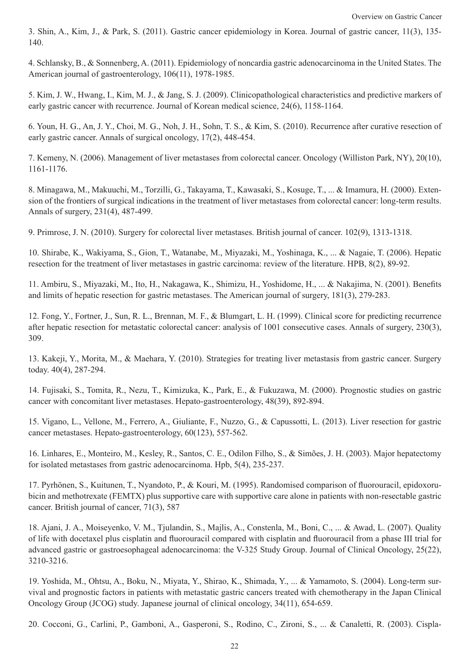3. Shin, A., Kim, J., & Park, S. (2011). Gastric cancer epidemiology in Korea. Journal of gastric cancer, 11(3), 135- 140.

4. Schlansky, B., & Sonnenberg, A. (2011). Epidemiology of noncardia gastric adenocarcinoma in the United States. The American journal of gastroenterology, 106(11), 1978-1985.

5. Kim, J. W., Hwang, I., Kim, M. J., & Jang, S. J. (2009). Clinicopathological characteristics and predictive markers of early gastric cancer with recurrence. Journal of Korean medical science, 24(6), 1158-1164.

6. Youn, H. G., An, J. Y., Choi, M. G., Noh, J. H., Sohn, T. S., & Kim, S. (2010). Recurrence after curative resection of early gastric cancer. Annals of surgical oncology, 17(2), 448-454.

7. Kemeny, N. (2006). Management of liver metastases from colorectal cancer. Oncology (Williston Park, NY), 20(10), 1161-1176.

8. Minagawa, M., Makuuchi, M., Torzilli, G., Takayama, T., Kawasaki, S., Kosuge, T., ... & Imamura, H. (2000). Extension of the frontiers of surgical indications in the treatment of liver metastases from colorectal cancer: long-term results. Annals of surgery, 231(4), 487-499.

9. Primrose, J. N. (2010). Surgery for colorectal liver metastases. British journal of cancer. 102(9), 1313-1318.

10. Shirabe, K., Wakiyama, S., Gion, T., Watanabe, M., Miyazaki, M., Yoshinaga, K., ... & Nagaie, T. (2006). Hepatic resection for the treatment of liver metastases in gastric carcinoma: review of the literature. HPB, 8(2), 89-92.

11. Ambiru, S., Miyazaki, M., Ito, H., Nakagawa, K., Shimizu, H., Yoshidome, H., ... & Nakajima, N. (2001). Benefits and limits of hepatic resection for gastric metastases. The American journal of surgery, 181(3), 279-283.

12. Fong, Y., Fortner, J., Sun, R. L., Brennan, M. F., & Blumgart, L. H. (1999). Clinical score for predicting recurrence after hepatic resection for metastatic colorectal cancer: analysis of 1001 consecutive cases. Annals of surgery, 230(3), 309.

13. Kakeji, Y., Morita, M., & Maehara, Y. (2010). Strategies for treating liver metastasis from gastric cancer. Surgery today. 40(4), 287-294.

14. Fujisaki, S., Tomita, R., Nezu, T., Kimizuka, K., Park, E., & Fukuzawa, M. (2000). Prognostic studies on gastric cancer with concomitant liver metastases. Hepato-gastroenterology, 48(39), 892-894.

15. Vigano, L., Vellone, M., Ferrero, A., Giuliante, F., Nuzzo, G., & Capussotti, L. (2013). Liver resection for gastric cancer metastases. Hepato-gastroenterology, 60(123), 557-562.

16. Linhares, E., Monteiro, M., Kesley, R., Santos, C. E., Odilon Filho, S., & Simões, J. H. (2003). Major hepatectomy for isolated metastases from gastric adenocarcinoma. Hpb, 5(4), 235-237.

17. Pyrhönen, S., Kuitunen, T., Nyandoto, P., & Kouri, M. (1995). Randomised comparison of fluorouracil, epidoxorubicin and methotrexate (FEMTX) plus supportive care with supportive care alone in patients with non-resectable gastric cancer. British journal of cancer, 71(3), 587

18. Ajani, J. A., Moiseyenko, V. M., Tjulandin, S., Majlis, A., Constenla, M., Boni, C., ... & Awad, L. (2007). Quality of life with docetaxel plus cisplatin and fluorouracil compared with cisplatin and fluorouracil from a phase III trial for advanced gastric or gastroesophageal adenocarcinoma: the V-325 Study Group. Journal of Clinical Oncology, 25(22), 3210-3216.

19. Yoshida, M., Ohtsu, A., Boku, N., Miyata, Y., Shirao, K., Shimada, Y., ... & Yamamoto, S. (2004). Long-term survival and prognostic factors in patients with metastatic gastric cancers treated with chemotherapy in the Japan Clinical Oncology Group (JCOG) study. Japanese journal of clinical oncology, 34(11), 654-659.

20. Cocconi, G., Carlini, P., Gamboni, A., Gasperoni, S., Rodino, C., Zironi, S., ... & Canaletti, R. (2003). Cispla-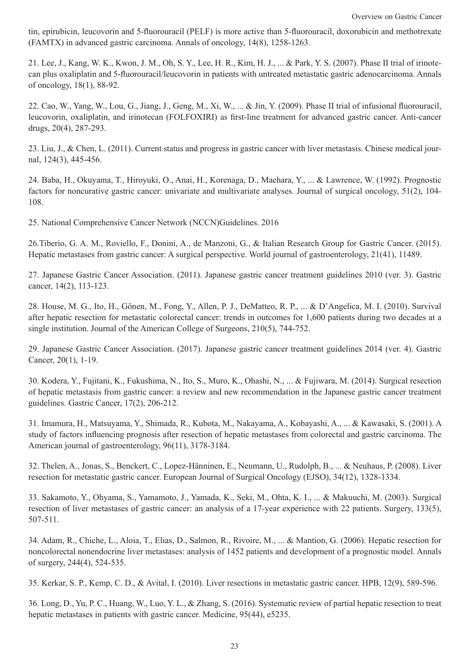tin, epirubicin, leucovorin and 5-fluorouracil (PELF) is more active than 5-fluorouracil, doxorubicin and methotrexate (FAMTX) in advanced gastric carcinoma. Annals of oncology, 14(8), 1258-1263.

21. Lee, J., Kang, W. K., Kwon, J. M., Oh, S. Y., Lee, H. R., Kim, H. J., ... & Park, Y. S. (2007). Phase II trial of irinotecan plus oxaliplatin and 5-fluorouracil/leucovorin in patients with untreated metastatic gastric adenocarcinoma. Annals of oncology, 18(1), 88-92.

22. Cao, W., Yang, W., Lou, G., Jiang, J., Geng, M., Xi, W., ... & Jin, Y. (2009). Phase II trial of infusional fluorouracil, leucovorin, oxaliplatin, and irinotecan (FOLFOXIRI) as first-line treatment for advanced gastric cancer. Anti-cancer drugs, 20(4), 287-293.

23. Liu, J., & Chen, L. (2011). Current status and progress in gastric cancer with liver metastasis. Chinese medical journal, 124(3), 445-456.

24. Baba, H., Okuyama, T., Hiroyuki, O., Anai, H., Korenaga, D., Maehara, Y., ... & Lawrence, W. (1992). Prognostic factors for noncurative gastric cancer: univariate and multivariate analyses. Journal of surgical oncology, 51(2), 104- 108.

25. National Comprehensive Cancer Network (NCCN)Guidelines. 2016

26.Tiberio, G. A. M., Roviello, F., Donini, A., de Manzoni, G., & Italian Research Group for Gastric Cancer. (2015). Hepatic metastases from gastric cancer: A surgical perspective. World journal of gastroenterology, 21(41), 11489.

27. Japanese Gastric Cancer Association. (2011). Japanese gastric cancer treatment guidelines 2010 (ver. 3). Gastric cancer, 14(2), 113-123.

28. House, M. G., Ito, H., Gönen, M., Fong, Y., Allen, P. J., DeMatteo, R. P., ... & D'Angelica, M. I. (2010). Survival after hepatic resection for metastatic colorectal cancer: trends in outcomes for 1,600 patients during two decades at a single institution. Journal of the American College of Surgeons, 210(5), 744-752.

29. Japanese Gastric Cancer Association. (2017). Japanese gastric cancer treatment guidelines 2014 (ver. 4). Gastric Cancer, 20(1), 1-19.

30. Kodera, Y., Fujitani, K., Fukushima, N., Ito, S., Muro, K., Ohashi, N., ... & Fujiwara, M. (2014). Surgical resection of hepatic metastasis from gastric cancer: a review and new recommendation in the Japanese gastric cancer treatment guidelines. Gastric Cancer, 17(2), 206-212.

31. Imamura, H., Matsuyama, Y., Shimada, R., Kubota, M., Nakayama, A., Kobayashi, A., ... & Kawasaki, S. (2001). A study of factors influencing prognosis after resection of hepatic metastases from colorectal and gastric carcinoma. The American journal of gastroenterology, 96(11), 3178-3184.

32. Thelen, A., Jonas, S., Benckert, C., Lopez-Hänninen, E., Neumann, U., Rudolph, B., ... & Neuhaus, P. (2008). Liver resection for metastatic gastric cancer. European Journal of Surgical Oncology (EJSO), 34(12), 1328-1334.

33. Sakamoto, Y., Ohyama, S., Yamamoto, J., Yamada, K., Seki, M., Ohta, K. I., ... & Makuuchi, M. (2003). Surgical resection of liver metastases of gastric cancer: an analysis of a 17-year experience with 22 patients. Surgery, 133(5), 507-511.

34. Adam, R., Chiche, L., Aloia, T., Elias, D., Salmon, R., Rivoire, M., ... & Mantion, G. (2006). Hepatic resection for noncolorectal nonendocrine liver metastases: analysis of 1452 patients and development of a prognostic model. Annals of surgery, 244(4), 524-535.

35. Kerkar, S. P., Kemp, C. D., & Avital, I. (2010). Liver resections in metastatic gastric cancer. HPB, 12(9), 589-596.

36. Long, D., Yu, P. C., Huang, W., Luo, Y. L., & Zhang, S. (2016). Systematic review of partial hepatic resection to treat hepatic metastases in patients with gastric cancer. Medicine, 95(44), e5235.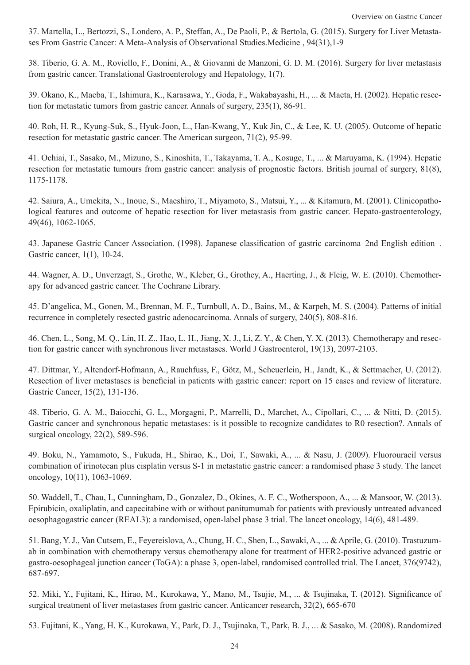37. Martella, L., Bertozzi, S., Londero, A. P., Steffan, A., De Paoli, P., & Bertola, G. (2015). Surgery for Liver Metastases From Gastric Cancer: A Meta-Analysis of Observational Studies.Medicine , 94(31),1-9

38. Tiberio, G. A. M., Roviello, F., Donini, A., & Giovanni de Manzoni, G. D. M. (2016). Surgery for liver metastasis from gastric cancer. Translational Gastroenterology and Hepatology, 1(7).

39. Okano, K., Maeba, T., Ishimura, K., Karasawa, Y., Goda, F., Wakabayashi, H., ... & Maeta, H. (2002). Hepatic resection for metastatic tumors from gastric cancer. Annals of surgery, 235(1), 86-91.

40. Roh, H. R., Kyung-Suk, S., Hyuk-Joon, L., Han-Kwang, Y., Kuk Jin, C., & Lee, K. U. (2005). Outcome of hepatic resection for metastatic gastric cancer. The American surgeon, 71(2), 95-99.

41. Ochiai, T., Sasako, M., Mizuno, S., Kinoshita, T., Takayama, T. A., Kosuge, T., ... & Maruyama, K. (1994). Hepatic resection for metastatic tumours from gastric cancer: analysis of prognostic factors. British journal of surgery, 81(8), 1175-1178.

42. Saiura, A., Umekita, N., Inoue, S., Maeshiro, T., Miyamoto, S., Matsui, Y., ... & Kitamura, M. (2001). Clinicopathological features and outcome of hepatic resection for liver metastasis from gastric cancer. Hepato-gastroenterology, 49(46), 1062-1065.

43. Japanese Gastric Cancer Association. (1998). Japanese classification of gastric carcinoma–2nd English edition–. Gastric cancer, 1(1), 10-24.

44. Wagner, A. D., Unverzagt, S., Grothe, W., Kleber, G., Grothey, A., Haerting, J., & Fleig, W. E. (2010). Chemotherapy for advanced gastric cancer. The Cochrane Library.

45. D'angelica, M., Gonen, M., Brennan, M. F., Turnbull, A. D., Bains, M., & Karpeh, M. S. (2004). Patterns of initial recurrence in completely resected gastric adenocarcinoma. Annals of surgery, 240(5), 808-816.

46. Chen, L., Song, M. Q., Lin, H. Z., Hao, L. H., Jiang, X. J., Li, Z. Y., & Chen, Y. X. (2013). Chemotherapy and resection for gastric cancer with synchronous liver metastases. World J Gastroenterol, 19(13), 2097-2103.

47. Dittmar, Y., Altendorf-Hofmann, A., Rauchfuss, F., Götz, M., Scheuerlein, H., Jandt, K., & Settmacher, U. (2012). Resection of liver metastases is beneficial in patients with gastric cancer: report on 15 cases and review of literature. Gastric Cancer, 15(2), 131-136.

48. Tiberio, G. A. M., Baiocchi, G. L., Morgagni, P., Marrelli, D., Marchet, A., Cipollari, C., ... & Nitti, D. (2015). Gastric cancer and synchronous hepatic metastases: is it possible to recognize candidates to R0 resection?. Annals of surgical oncology, 22(2), 589-596.

49. Boku, N., Yamamoto, S., Fukuda, H., Shirao, K., Doi, T., Sawaki, A., ... & Nasu, J. (2009). Fluorouracil versus combination of irinotecan plus cisplatin versus S-1 in metastatic gastric cancer: a randomised phase 3 study. The lancet oncology, 10(11), 1063-1069.

50. Waddell, T., Chau, I., Cunningham, D., Gonzalez, D., Okines, A. F. C., Wotherspoon, A., ... & Mansoor, W. (2013). Epirubicin, oxaliplatin, and capecitabine with or without panitumumab for patients with previously untreated advanced oesophagogastric cancer (REAL3): a randomised, open-label phase 3 trial. The lancet oncology, 14(6), 481-489.

51. Bang, Y. J., Van Cutsem, E., Feyereislova, A., Chung, H. C., Shen, L., Sawaki, A., ... & Aprile, G. (2010). Trastuzumab in combination with chemotherapy versus chemotherapy alone for treatment of HER2-positive advanced gastric or gastro-oesophageal junction cancer (ToGA): a phase 3, open-label, randomised controlled trial. The Lancet, 376(9742), 687-697.

52. Miki, Y., Fujitani, K., Hirao, M., Kurokawa, Y., Mano, M., Tsujie, M., ... & Tsujinaka, T. (2012). Significance of surgical treatment of liver metastases from gastric cancer. Anticancer research,  $32(2)$ , 665-670

53. Fujitani, K., Yang, H. K., Kurokawa, Y., Park, D. J., Tsujinaka, T., Park, B. J., ... & Sasako, M. (2008). Randomized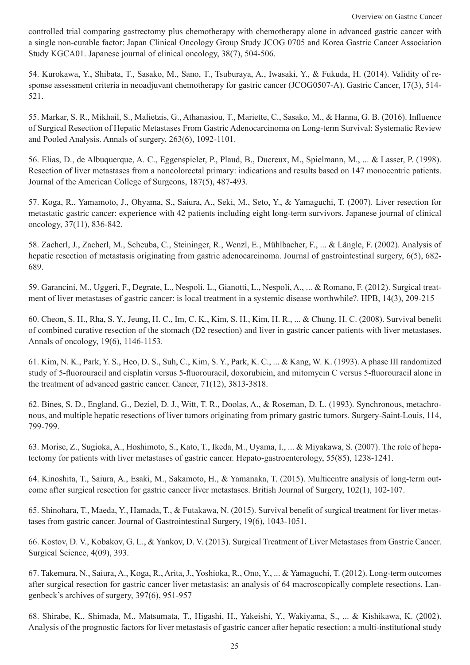controlled trial comparing gastrectomy plus chemotherapy with chemotherapy alone in advanced gastric cancer with a single non-curable factor: Japan Clinical Oncology Group Study JCOG 0705 and Korea Gastric Cancer Association Study KGCA01. Japanese journal of clinical oncology, 38(7), 504-506.

54. Kurokawa, Y., Shibata, T., Sasako, M., Sano, T., Tsuburaya, A., Iwasaki, Y., & Fukuda, H. (2014). Validity of response assessment criteria in neoadjuvant chemotherapy for gastric cancer (JCOG0507-A). Gastric Cancer, 17(3), 514-521.

55. Markar, S. R., Mikhail, S., Malietzis, G., Athanasiou, T., Mariette, C., Sasako, M., & Hanna, G. B. (2016). Influence of Surgical Resection of Hepatic Metastases From Gastric Adenocarcinoma on Long-term Survival: Systematic Review and Pooled Analysis. Annals of surgery, 263(6), 1092-1101.

56. Elias, D., de Albuquerque, A. C., Eggenspieler, P., Plaud, B., Ducreux, M., Spielmann, M., ... & Lasser, P. (1998). Resection of liver metastases from a noncolorectal primary: indications and results based on 147 monocentric patients. Journal of the American College of Surgeons, 187(5), 487-493.

57. Koga, R., Yamamoto, J., Ohyama, S., Saiura, A., Seki, M., Seto, Y., & Yamaguchi, T. (2007). Liver resection for metastatic gastric cancer: experience with 42 patients including eight long-term survivors. Japanese journal of clinical oncology, 37(11), 836-842.

58. Zacherl, J., Zacherl, M., Scheuba, C., Steininger, R., Wenzl, E., Mühlbacher, F., ... & Längle, F. (2002). Analysis of hepatic resection of metastasis originating from gastric adenocarcinoma. Journal of gastrointestinal surgery, 6(5), 682- 689.

59. Garancini, M., Uggeri, F., Degrate, L., Nespoli, L., Gianotti, L., Nespoli, A., ... & Romano, F. (2012). Surgical treatment of liver metastases of gastric cancer: is local treatment in a systemic disease worthwhile?. HPB, 14(3), 209-215

60. Cheon, S. H., Rha, S. Y., Jeung, H. C., Im, C. K., Kim, S. H., Kim, H. R., ... & Chung, H. C. (2008). Survival benefit of combined curative resection of the stomach (D2 resection) and liver in gastric cancer patients with liver metastases. Annals of oncology, 19(6), 1146-1153.

61. Kim, N. K., Park, Y. S., Heo, D. S., Suh, C., Kim, S. Y., Park, K. C., ... & Kang, W. K. (1993). A phase III randomized study of 5-fluorouracil and cisplatin versus 5-fluorouracil, doxorubicin, and mitomycin C versus 5-fluorouracil alone in the treatment of advanced gastric cancer. Cancer, 71(12), 3813-3818.

62. Bines, S. D., England, G., Deziel, D. J., Witt, T. R., Doolas, A., & Roseman, D. L. (1993). Synchronous, metachronous, and multiple hepatic resections of liver tumors originating from primary gastric tumors. Surgery-Saint-Louis, 114, 799-799.

63. Morise, Z., Sugioka, A., Hoshimoto, S., Kato, T., Ikeda, M., Uyama, I., ... & Miyakawa, S. (2007). The role of hepatectomy for patients with liver metastases of gastric cancer. Hepato-gastroenterology, 55(85), 1238-1241.

64. Kinoshita, T., Saiura, A., Esaki, M., Sakamoto, H., & Yamanaka, T. (2015). Multicentre analysis of long-term outcome after surgical resection for gastric cancer liver metastases. British Journal of Surgery, 102(1), 102-107.

65. Shinohara, T., Maeda, Y., Hamada, T., & Futakawa, N. (2015). Survival benefit of surgical treatment for liver metastases from gastric cancer. Journal of Gastrointestinal Surgery, 19(6), 1043-1051.

66. Kostov, D. V., Kobakov, G. L., & Yankov, D. V. (2013). Surgical Treatment of Liver Metastases from Gastric Cancer. Surgical Science, 4(09), 393.

67. Takemura, N., Saiura, A., Koga, R., Arita, J., Yoshioka, R., Ono, Y., ... & Yamaguchi, T. (2012). Long-term outcomes after surgical resection for gastric cancer liver metastasis: an analysis of 64 macroscopically complete resections. Langenbeck's archives of surgery, 397(6), 951-957

68. Shirabe, K., Shimada, M., Matsumata, T., Higashi, H., Yakeishi, Y., Wakiyama, S., ... & Kishikawa, K. (2002). Analysis of the prognostic factors for liver metastasis of gastric cancer after hepatic resection: a multi-institutional study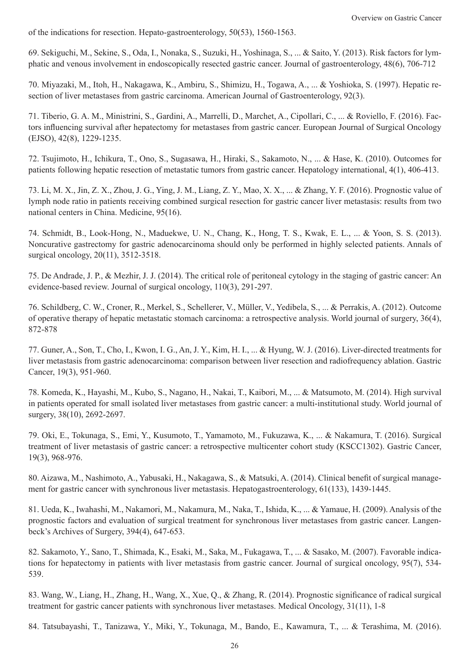of the indications for resection. Hepato-gastroenterology, 50(53), 1560-1563.

69. Sekiguchi, M., Sekine, S., Oda, I., Nonaka, S., Suzuki, H., Yoshinaga, S., ... & Saito, Y. (2013). Risk factors for lymphatic and venous involvement in endoscopically resected gastric cancer. Journal of gastroenterology, 48(6), 706-712

70. Miyazaki, M., Itoh, H., Nakagawa, K., Ambiru, S., Shimizu, H., Togawa, A., ... & Yoshioka, S. (1997). Hepatic resection of liver metastases from gastric carcinoma. American Journal of Gastroenterology, 92(3).

71. Tiberio, G. A. M., Ministrini, S., Gardini, A., Marrelli, D., Marchet, A., Cipollari, C., ... & Roviello, F. (2016). Factors influencing survival after hepatectomy for metastases from gastric cancer. European Journal of Surgical Oncology (EJSO), 42(8), 1229-1235.

72. Tsujimoto, H., Ichikura, T., Ono, S., Sugasawa, H., Hiraki, S., Sakamoto, N., ... & Hase, K. (2010). Outcomes for patients following hepatic resection of metastatic tumors from gastric cancer. Hepatology international, 4(1), 406-413.

73. Li, M. X., Jin, Z. X., Zhou, J. G., Ying, J. M., Liang, Z. Y., Mao, X. X., ... & Zhang, Y. F. (2016). Prognostic value of lymph node ratio in patients receiving combined surgical resection for gastric cancer liver metastasis: results from two national centers in China. Medicine, 95(16).

74. Schmidt, B., Look-Hong, N., Maduekwe, U. N., Chang, K., Hong, T. S., Kwak, E. L., ... & Yoon, S. S. (2013). Noncurative gastrectomy for gastric adenocarcinoma should only be performed in highly selected patients. Annals of surgical oncology, 20(11), 3512-3518.

75. De Andrade, J. P., & Mezhir, J. J. (2014). The critical role of peritoneal cytology in the staging of gastric cancer: An evidence-based review. Journal of surgical oncology, 110(3), 291-297.

76. Schildberg, C. W., Croner, R., Merkel, S., Schellerer, V., Müller, V., Yedibela, S., ... & Perrakis, A. (2012). Outcome of operative therapy of hepatic metastatic stomach carcinoma: a retrospective analysis. World journal of surgery, 36(4), 872-878

77. Guner, A., Son, T., Cho, I., Kwon, I. G., An, J. Y., Kim, H. I., ... & Hyung, W. J. (2016). Liver-directed treatments for liver metastasis from gastric adenocarcinoma: comparison between liver resection and radiofrequency ablation. Gastric Cancer, 19(3), 951-960.

78. Komeda, K., Hayashi, M., Kubo, S., Nagano, H., Nakai, T., Kaibori, M., ... & Matsumoto, M. (2014). High survival in patients operated for small isolated liver metastases from gastric cancer: a multi-institutional study. World journal of surgery, 38(10), 2692-2697.

79. Oki, E., Tokunaga, S., Emi, Y., Kusumoto, T., Yamamoto, M., Fukuzawa, K., ... & Nakamura, T. (2016). Surgical treatment of liver metastasis of gastric cancer: a retrospective multicenter cohort study (KSCC1302). Gastric Cancer, 19(3), 968-976.

80. Aizawa, M., Nashimoto, A., Yabusaki, H., Nakagawa, S., & Matsuki, A. (2014). Clinical benefit of surgical management for gastric cancer with synchronous liver metastasis. Hepatogastroenterology, 61(133), 1439-1445.

81. Ueda, K., Iwahashi, M., Nakamori, M., Nakamura, M., Naka, T., Ishida, K., ... & Yamaue, H. (2009). Analysis of the prognostic factors and evaluation of surgical treatment for synchronous liver metastases from gastric cancer. Langenbeck's Archives of Surgery, 394(4), 647-653.

82. Sakamoto, Y., Sano, T., Shimada, K., Esaki, M., Saka, M., Fukagawa, T., ... & Sasako, M. (2007). Favorable indications for hepatectomy in patients with liver metastasis from gastric cancer. Journal of surgical oncology, 95(7), 534- 539.

83. Wang, W., Liang, H., Zhang, H., Wang, X., Xue, Q., & Zhang, R. (2014). Prognostic significance of radical surgical treatment for gastric cancer patients with synchronous liver metastases. Medical Oncology, 31(11), 1-8

84. Tatsubayashi, T., Tanizawa, Y., Miki, Y., Tokunaga, M., Bando, E., Kawamura, T., ... & Terashima, M. (2016).